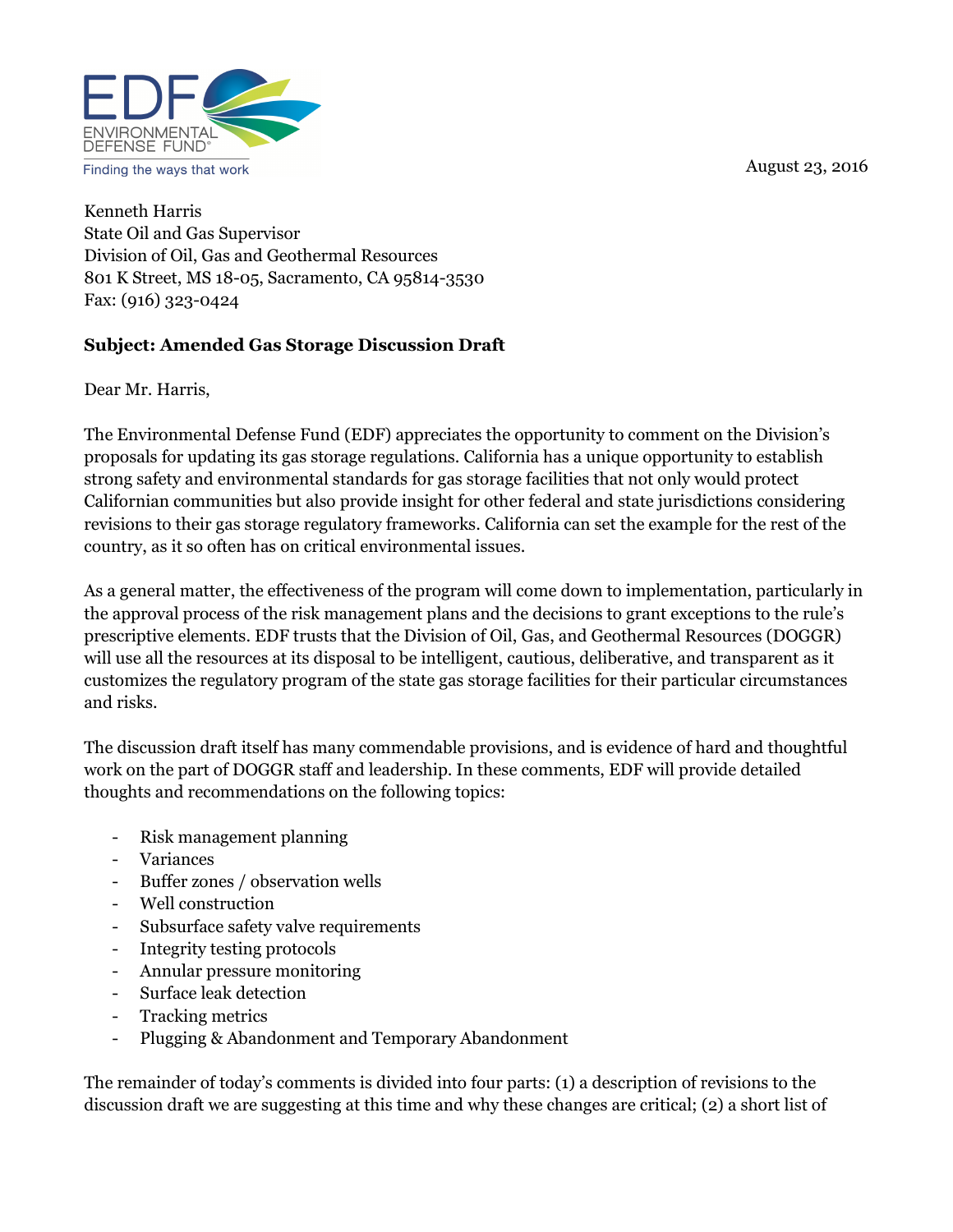August 23, 2016



Kenneth Harris State Oil and Gas Supervisor Division of Oil, Gas and Geothermal Resources 801 K Street, MS 18-05, Sacramento, CA 95814-3530 Fax: (916) 323-0424

### Subject: Amended Gas Storage Discussion Draft

Dear Mr. Harris,

The Environmental Defense Fund (EDF) appreciates the opportunity to comment on the Division's proposals for updating its gas storage regulations. California has a unique opportunity to establish strong safety and environmental standards for gas storage facilities that not only would protect Californian communities but also provide insight for other federal and state jurisdictions considering revisions to their gas storage regulatory frameworks. California can set the example for the rest of the country, as it so often has on critical environmental issues.

As a general matter, the effectiveness of the program will come down to implementation, particularly in the approval process of the risk management plans and the decisions to grant exceptions to the rule's prescriptive elements. EDF trusts that the Division of Oil, Gas, and Geothermal Resources (DOGGR) will use all the resources at its disposal to be intelligent, cautious, deliberative, and transparent as it customizes the regulatory program of the state gas storage facilities for their particular circumstances and risks.

The discussion draft itself has many commendable provisions, and is evidence of hard and thoughtful work on the part of DOGGR staff and leadership. In these comments, EDF will provide detailed thoughts and recommendations on the following topics:

- Risk management planning
- Variances
- Buffer zones / observation wells
- Well construction
- Subsurface safety valve requirements
- Integrity testing protocols
- Annular pressure monitoring
- Surface leak detection
- Tracking metrics
- Plugging & Abandonment and Temporary Abandonment

The remainder of today's comments is divided into four parts: (1) a description of revisions to the discussion draft we are suggesting at this time and why these changes are critical; (2) a short list of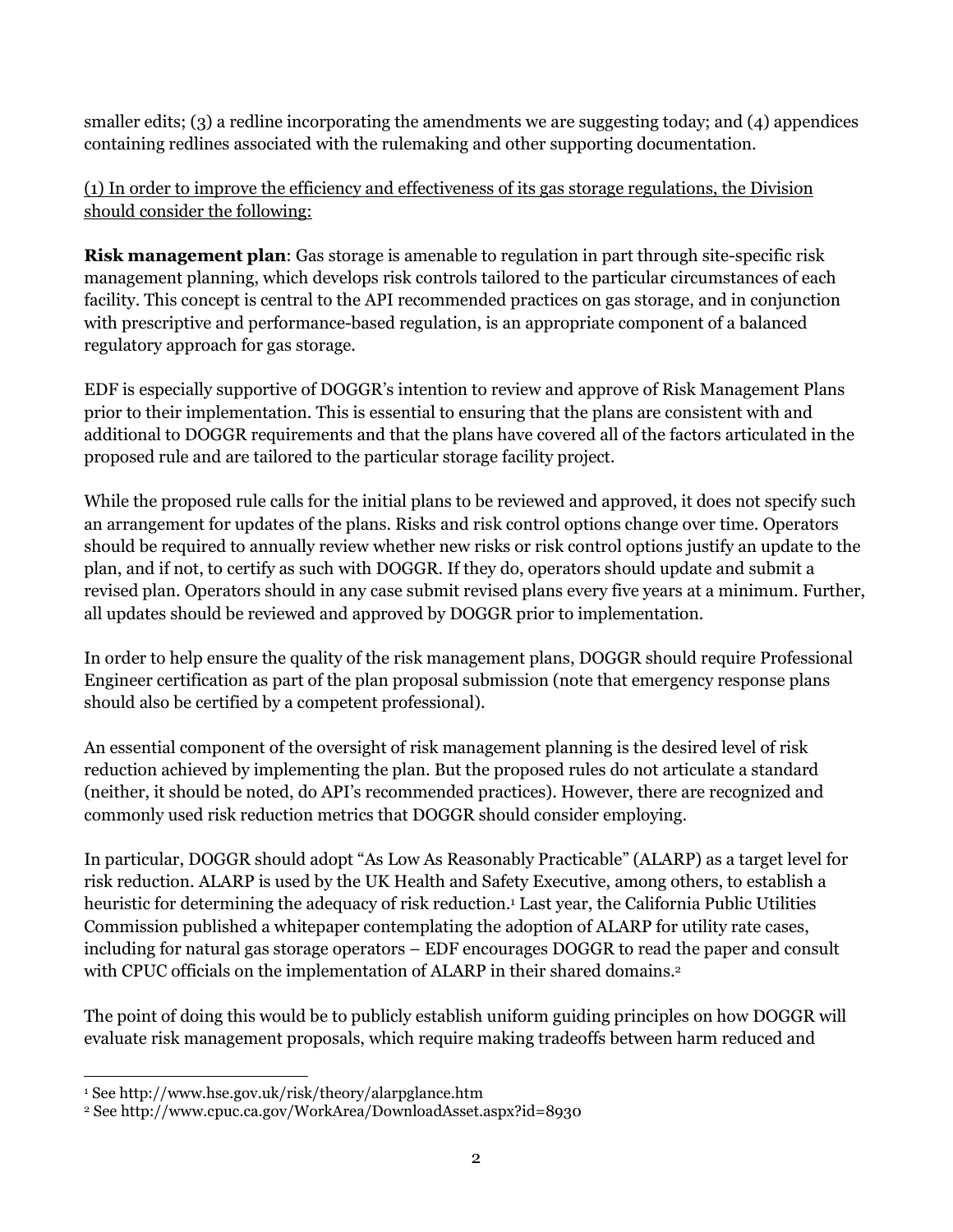smaller edits; (3) a redline incorporating the amendments we are suggesting today; and (4) appendices containing redlines associated with the rulemaking and other supporting documentation.

(1) In order to improve the efficiency and effectiveness of its gas storage regulations, the Division should consider the following:

Risk management plan: Gas storage is amenable to regulation in part through site-specific risk management planning, which develops risk controls tailored to the particular circumstances of each facility. This concept is central to the API recommended practices on gas storage, and in conjunction with prescriptive and performance-based regulation, is an appropriate component of a balanced regulatory approach for gas storage.

EDF is especially supportive of DOGGR's intention to review and approve of Risk Management Plans prior to their implementation. This is essential to ensuring that the plans are consistent with and additional to DOGGR requirements and that the plans have covered all of the factors articulated in the proposed rule and are tailored to the particular storage facility project.

While the proposed rule calls for the initial plans to be reviewed and approved, it does not specify such an arrangement for updates of the plans. Risks and risk control options change over time. Operators should be required to annually review whether new risks or risk control options justify an update to the plan, and if not, to certify as such with DOGGR. If they do, operators should update and submit a revised plan. Operators should in any case submit revised plans every five years at a minimum. Further, all updates should be reviewed and approved by DOGGR prior to implementation.

In order to help ensure the quality of the risk management plans, DOGGR should require Professional Engineer certification as part of the plan proposal submission (note that emergency response plans should also be certified by a competent professional).

An essential component of the oversight of risk management planning is the desired level of risk reduction achieved by implementing the plan. But the proposed rules do not articulate a standard (neither, it should be noted, do API's recommended practices). However, there are recognized and commonly used risk reduction metrics that DOGGR should consider employing.

In particular, DOGGR should adopt "As Low As Reasonably Practicable" (ALARP) as a target level for risk reduction. ALARP is used by the UK Health and Safety Executive, among others, to establish a heuristic for determining the adequacy of risk reduction.<sup>1</sup> Last year, the California Public Utilities Commission published a whitepaper contemplating the adoption of ALARP for utility rate cases, including for natural gas storage operators – EDF encourages DOGGR to read the paper and consult with CPUC officials on the implementation of ALARP in their shared domains.<sup>2</sup>

The point of doing this would be to publicly establish uniform guiding principles on how DOGGR will evaluate risk management proposals, which require making tradeoffs between harm reduced and

 $\ddot{\phantom{a}}$ 1 See http://www.hse.gov.uk/risk/theory/alarpglance.htm

<sup>2</sup> See http://www.cpuc.ca.gov/WorkArea/DownloadAsset.aspx?id=8930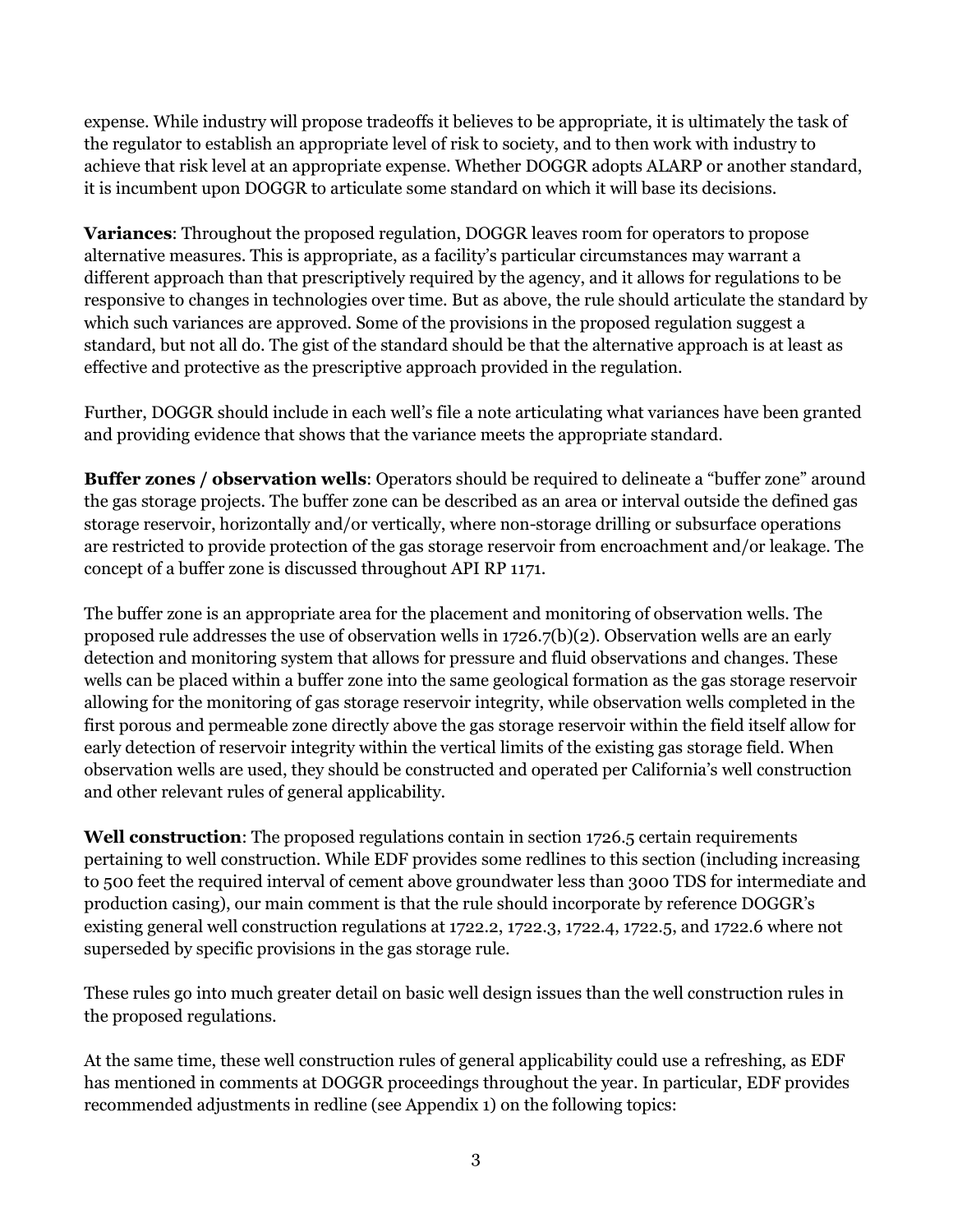expense. While industry will propose tradeoffs it believes to be appropriate, it is ultimately the task of the regulator to establish an appropriate level of risk to society, and to then work with industry to achieve that risk level at an appropriate expense. Whether DOGGR adopts ALARP or another standard, it is incumbent upon DOGGR to articulate some standard on which it will base its decisions.

Variances: Throughout the proposed regulation, DOGGR leaves room for operators to propose alternative measures. This is appropriate, as a facility's particular circumstances may warrant a different approach than that prescriptively required by the agency, and it allows for regulations to be responsive to changes in technologies over time. But as above, the rule should articulate the standard by which such variances are approved. Some of the provisions in the proposed regulation suggest a standard, but not all do. The gist of the standard should be that the alternative approach is at least as effective and protective as the prescriptive approach provided in the regulation.

Further, DOGGR should include in each well's file a note articulating what variances have been granted and providing evidence that shows that the variance meets the appropriate standard.

Buffer zones / observation wells: Operators should be required to delineate a "buffer zone" around the gas storage projects. The buffer zone can be described as an area or interval outside the defined gas storage reservoir, horizontally and/or vertically, where non-storage drilling or subsurface operations are restricted to provide protection of the gas storage reservoir from encroachment and/or leakage. The concept of a buffer zone is discussed throughout API RP 1171.

The buffer zone is an appropriate area for the placement and monitoring of observation wells. The proposed rule addresses the use of observation wells in 1726.7(b)(2). Observation wells are an early detection and monitoring system that allows for pressure and fluid observations and changes. These wells can be placed within a buffer zone into the same geological formation as the gas storage reservoir allowing for the monitoring of gas storage reservoir integrity, while observation wells completed in the first porous and permeable zone directly above the gas storage reservoir within the field itself allow for early detection of reservoir integrity within the vertical limits of the existing gas storage field. When observation wells are used, they should be constructed and operated per California's well construction and other relevant rules of general applicability.

Well construction: The proposed regulations contain in section 1726.5 certain requirements pertaining to well construction. While EDF provides some redlines to this section (including increasing to 500 feet the required interval of cement above groundwater less than 3000 TDS for intermediate and production casing), our main comment is that the rule should incorporate by reference DOGGR's existing general well construction regulations at 1722.2, 1722.3, 1722.4, 1722.5, and 1722.6 where not superseded by specific provisions in the gas storage rule.

These rules go into much greater detail on basic well design issues than the well construction rules in the proposed regulations.

At the same time, these well construction rules of general applicability could use a refreshing, as EDF has mentioned in comments at DOGGR proceedings throughout the year. In particular, EDF provides recommended adjustments in redline (see Appendix 1) on the following topics: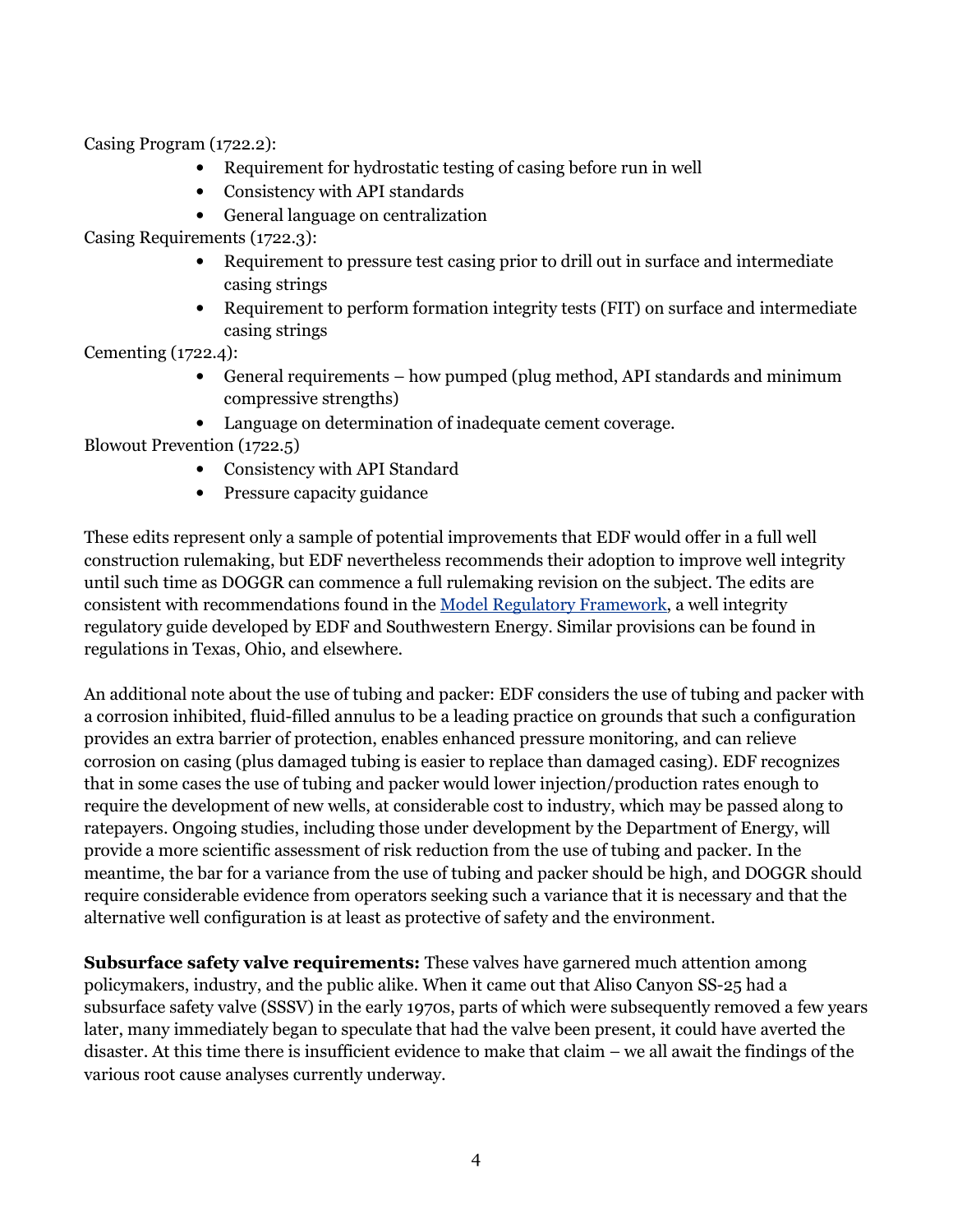Casing Program (1722.2):

- Requirement for hydrostatic testing of casing before run in well
- Consistency with API standards
- General language on centralization

Casing Requirements (1722.3):

- Requirement to pressure test casing prior to drill out in surface and intermediate casing strings
- Requirement to perform formation integrity tests (FIT) on surface and intermediate casing strings

Cementing (1722.4):

- General requirements how pumped (plug method, API standards and minimum compressive strengths)
- Language on determination of inadequate cement coverage.

Blowout Prevention (1722.5)

- Consistency with API Standard
- Pressure capacity guidance

These edits represent only a sample of potential improvements that EDF would offer in a full well construction rulemaking, but EDF nevertheless recommends their adoption to improve well integrity until such time as DOGGR can commence a full rulemaking revision on the subject. The edits are consistent with recommendations found in the Model Regulatory Framework, a well integrity regulatory guide developed by EDF and Southwestern Energy. Similar provisions can be found in regulations in Texas, Ohio, and elsewhere.

An additional note about the use of tubing and packer: EDF considers the use of tubing and packer with a corrosion inhibited, fluid-filled annulus to be a leading practice on grounds that such a configuration provides an extra barrier of protection, enables enhanced pressure monitoring, and can relieve corrosion on casing (plus damaged tubing is easier to replace than damaged casing). EDF recognizes that in some cases the use of tubing and packer would lower injection/production rates enough to require the development of new wells, at considerable cost to industry, which may be passed along to ratepayers. Ongoing studies, including those under development by the Department of Energy, will provide a more scientific assessment of risk reduction from the use of tubing and packer. In the meantime, the bar for a variance from the use of tubing and packer should be high, and DOGGR should require considerable evidence from operators seeking such a variance that it is necessary and that the alternative well configuration is at least as protective of safety and the environment.

Subsurface safety valve requirements: These valves have garnered much attention among policymakers, industry, and the public alike. When it came out that Aliso Canyon SS-25 had a subsurface safety valve (SSSV) in the early 1970s, parts of which were subsequently removed a few years later, many immediately began to speculate that had the valve been present, it could have averted the disaster. At this time there is insufficient evidence to make that claim – we all await the findings of the various root cause analyses currently underway.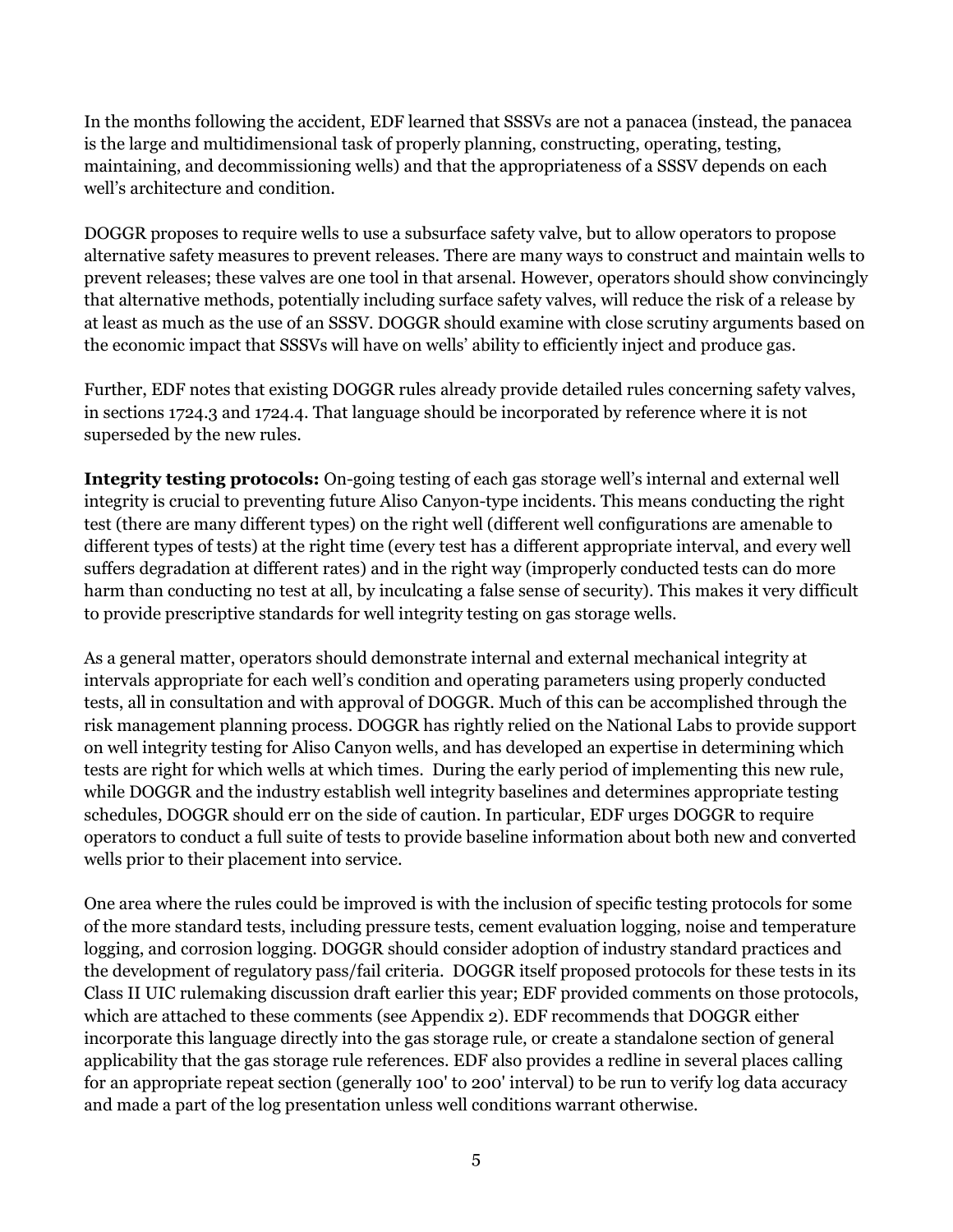In the months following the accident, EDF learned that SSSVs are not a panacea (instead, the panacea is the large and multidimensional task of properly planning, constructing, operating, testing, maintaining, and decommissioning wells) and that the appropriateness of a SSSV depends on each well's architecture and condition.

DOGGR proposes to require wells to use a subsurface safety valve, but to allow operators to propose alternative safety measures to prevent releases. There are many ways to construct and maintain wells to prevent releases; these valves are one tool in that arsenal. However, operators should show convincingly that alternative methods, potentially including surface safety valves, will reduce the risk of a release by at least as much as the use of an SSSV. DOGGR should examine with close scrutiny arguments based on the economic impact that SSSVs will have on wells' ability to efficiently inject and produce gas.

Further, EDF notes that existing DOGGR rules already provide detailed rules concerning safety valves, in sections 1724.3 and 1724.4. That language should be incorporated by reference where it is not superseded by the new rules.

Integrity testing protocols: On-going testing of each gas storage well's internal and external well integrity is crucial to preventing future Aliso Canyon-type incidents. This means conducting the right test (there are many different types) on the right well (different well configurations are amenable to different types of tests) at the right time (every test has a different appropriate interval, and every well suffers degradation at different rates) and in the right way (improperly conducted tests can do more harm than conducting no test at all, by inculcating a false sense of security). This makes it very difficult to provide prescriptive standards for well integrity testing on gas storage wells.

As a general matter, operators should demonstrate internal and external mechanical integrity at intervals appropriate for each well's condition and operating parameters using properly conducted tests, all in consultation and with approval of DOGGR. Much of this can be accomplished through the risk management planning process. DOGGR has rightly relied on the National Labs to provide support on well integrity testing for Aliso Canyon wells, and has developed an expertise in determining which tests are right for which wells at which times. During the early period of implementing this new rule, while DOGGR and the industry establish well integrity baselines and determines appropriate testing schedules, DOGGR should err on the side of caution. In particular, EDF urges DOGGR to require operators to conduct a full suite of tests to provide baseline information about both new and converted wells prior to their placement into service.

One area where the rules could be improved is with the inclusion of specific testing protocols for some of the more standard tests, including pressure tests, cement evaluation logging, noise and temperature logging, and corrosion logging. DOGGR should consider adoption of industry standard practices and the development of regulatory pass/fail criteria. DOGGR itself proposed protocols for these tests in its Class II UIC rulemaking discussion draft earlier this year; EDF provided comments on those protocols, which are attached to these comments (see Appendix 2). EDF recommends that DOGGR either incorporate this language directly into the gas storage rule, or create a standalone section of general applicability that the gas storage rule references. EDF also provides a redline in several places calling for an appropriate repeat section (generally 100' to 200' interval) to be run to verify log data accuracy and made a part of the log presentation unless well conditions warrant otherwise.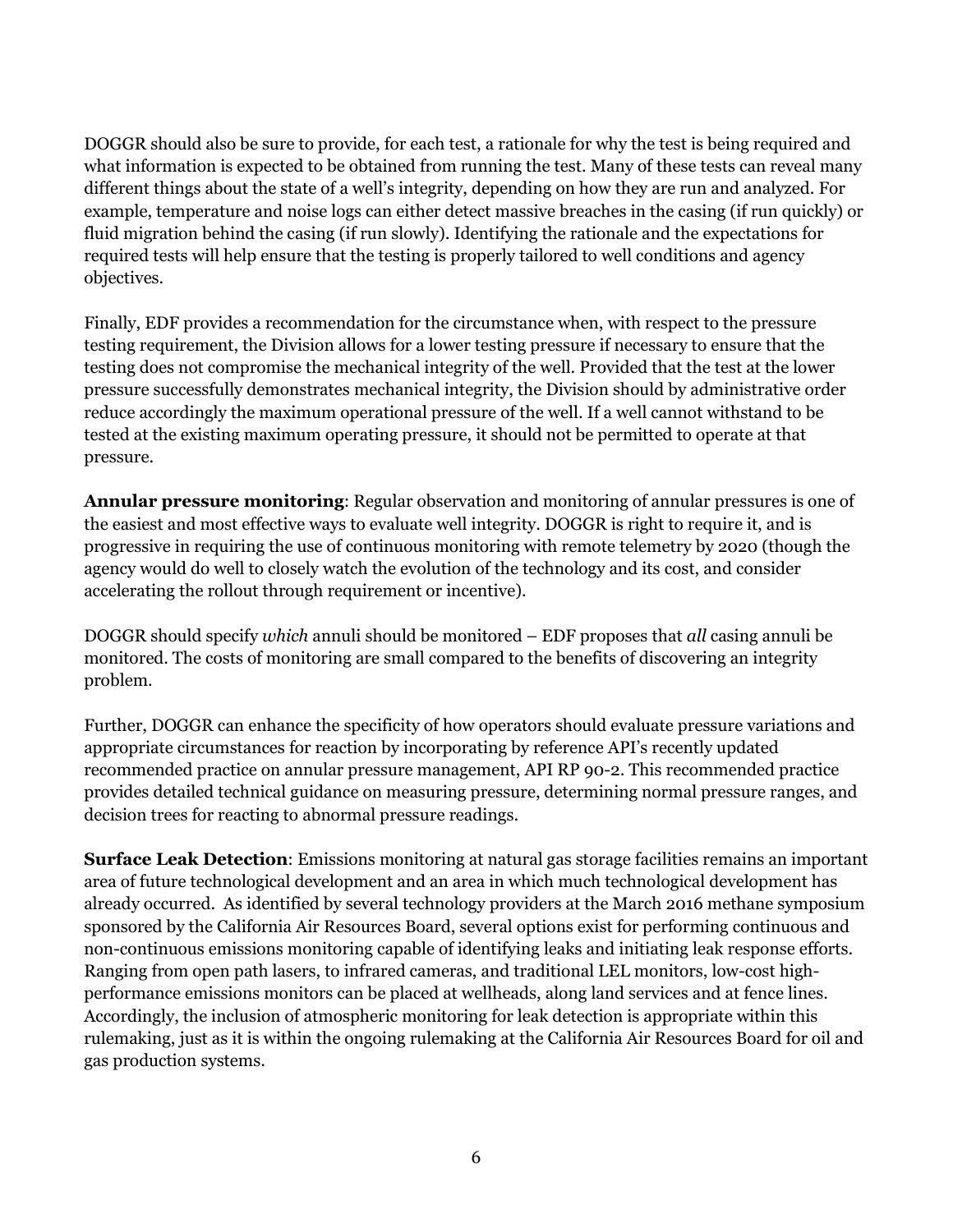DOGGR should also be sure to provide, for each test, a rationale for why the test is being required and what information is expected to be obtained from running the test. Many of these tests can reveal many different things about the state of a well's integrity, depending on how they are run and analyzed. For example, temperature and noise logs can either detect massive breaches in the casing (if run quickly) or fluid migration behind the casing (if run slowly). Identifying the rationale and the expectations for required tests will help ensure that the testing is properly tailored to well conditions and agency objectives.

Finally, EDF provides a recommendation for the circumstance when, with respect to the pressure testing requirement, the Division allows for a lower testing pressure if necessary to ensure that the testing does not compromise the mechanical integrity of the well. Provided that the test at the lower pressure successfully demonstrates mechanical integrity, the Division should by administrative order reduce accordingly the maximum operational pressure of the well. If a well cannot withstand to be tested at the existing maximum operating pressure, it should not be permitted to operate at that pressure.

Annular pressure monitoring: Regular observation and monitoring of annular pressures is one of the easiest and most effective ways to evaluate well integrity. DOGGR is right to require it, and is progressive in requiring the use of continuous monitoring with remote telemetry by 2020 (though the agency would do well to closely watch the evolution of the technology and its cost, and consider accelerating the rollout through requirement or incentive).

DOGGR should specify which annuli should be monitored  $-$  EDF proposes that all casing annuli be monitored. The costs of monitoring are small compared to the benefits of discovering an integrity problem.

Further, DOGGR can enhance the specificity of how operators should evaluate pressure variations and appropriate circumstances for reaction by incorporating by reference API's recently updated recommended practice on annular pressure management, API RP 90-2. This recommended practice provides detailed technical guidance on measuring pressure, determining normal pressure ranges, and decision trees for reacting to abnormal pressure readings.

Surface Leak Detection: Emissions monitoring at natural gas storage facilities remains an important area of future technological development and an area in which much technological development has already occurred. As identified by several technology providers at the March 2016 methane symposium sponsored by the California Air Resources Board, several options exist for performing continuous and non-continuous emissions monitoring capable of identifying leaks and initiating leak response efforts. Ranging from open path lasers, to infrared cameras, and traditional LEL monitors, low-cost highperformance emissions monitors can be placed at wellheads, along land services and at fence lines. Accordingly, the inclusion of atmospheric monitoring for leak detection is appropriate within this rulemaking, just as it is within the ongoing rulemaking at the California Air Resources Board for oil and gas production systems.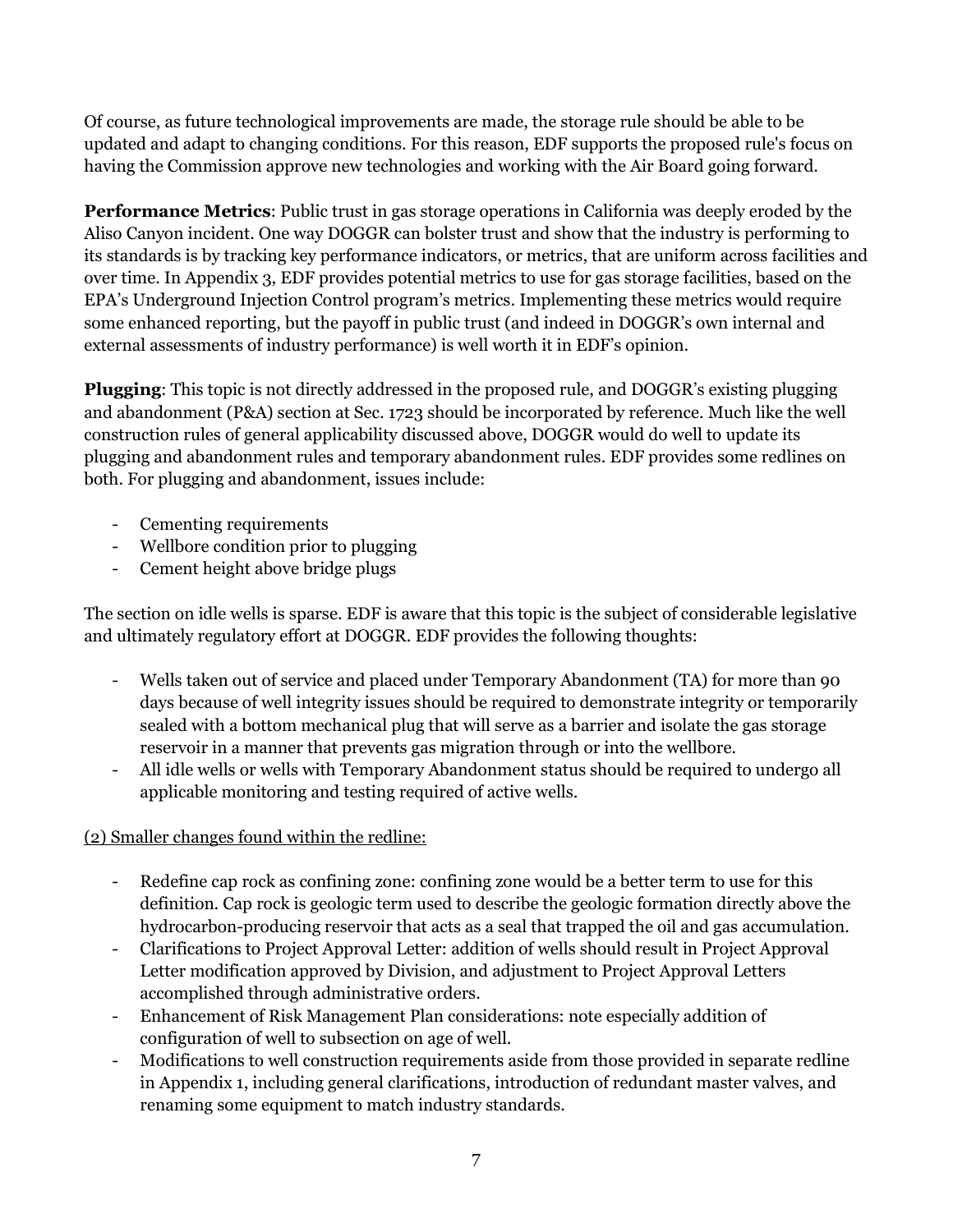Of course, as future technological improvements are made, the storage rule should be able to be updated and adapt to changing conditions. For this reason, EDF supports the proposed rule's focus on having the Commission approve new technologies and working with the Air Board going forward.

Performance Metrics: Public trust in gas storage operations in California was deeply eroded by the Aliso Canyon incident. One way DOGGR can bolster trust and show that the industry is performing to its standards is by tracking key performance indicators, or metrics, that are uniform across facilities and over time. In Appendix 3, EDF provides potential metrics to use for gas storage facilities, based on the EPA's Underground Injection Control program's metrics. Implementing these metrics would require some enhanced reporting, but the payoff in public trust (and indeed in DOGGR's own internal and external assessments of industry performance) is well worth it in EDF's opinion.

Plugging: This topic is not directly addressed in the proposed rule, and DOGGR's existing plugging and abandonment (P&A) section at Sec. 1723 should be incorporated by reference. Much like the well construction rules of general applicability discussed above, DOGGR would do well to update its plugging and abandonment rules and temporary abandonment rules. EDF provides some redlines on both. For plugging and abandonment, issues include:

- Cementing requirements
- Wellbore condition prior to plugging
- Cement height above bridge plugs

The section on idle wells is sparse. EDF is aware that this topic is the subject of considerable legislative and ultimately regulatory effort at DOGGR. EDF provides the following thoughts:

- Wells taken out of service and placed under Temporary Abandonment (TA) for more than 90 days because of well integrity issues should be required to demonstrate integrity or temporarily sealed with a bottom mechanical plug that will serve as a barrier and isolate the gas storage reservoir in a manner that prevents gas migration through or into the wellbore.
- All idle wells or wells with Temporary Abandonment status should be required to undergo all applicable monitoring and testing required of active wells.

(2) Smaller changes found within the redline:

- Redefine cap rock as confining zone: confining zone would be a better term to use for this definition. Cap rock is geologic term used to describe the geologic formation directly above the hydrocarbon-producing reservoir that acts as a seal that trapped the oil and gas accumulation.
- Clarifications to Project Approval Letter: addition of wells should result in Project Approval Letter modification approved by Division, and adjustment to Project Approval Letters accomplished through administrative orders.
- Enhancement of Risk Management Plan considerations: note especially addition of configuration of well to subsection on age of well.
- Modifications to well construction requirements aside from those provided in separate redline in Appendix 1, including general clarifications, introduction of redundant master valves, and renaming some equipment to match industry standards.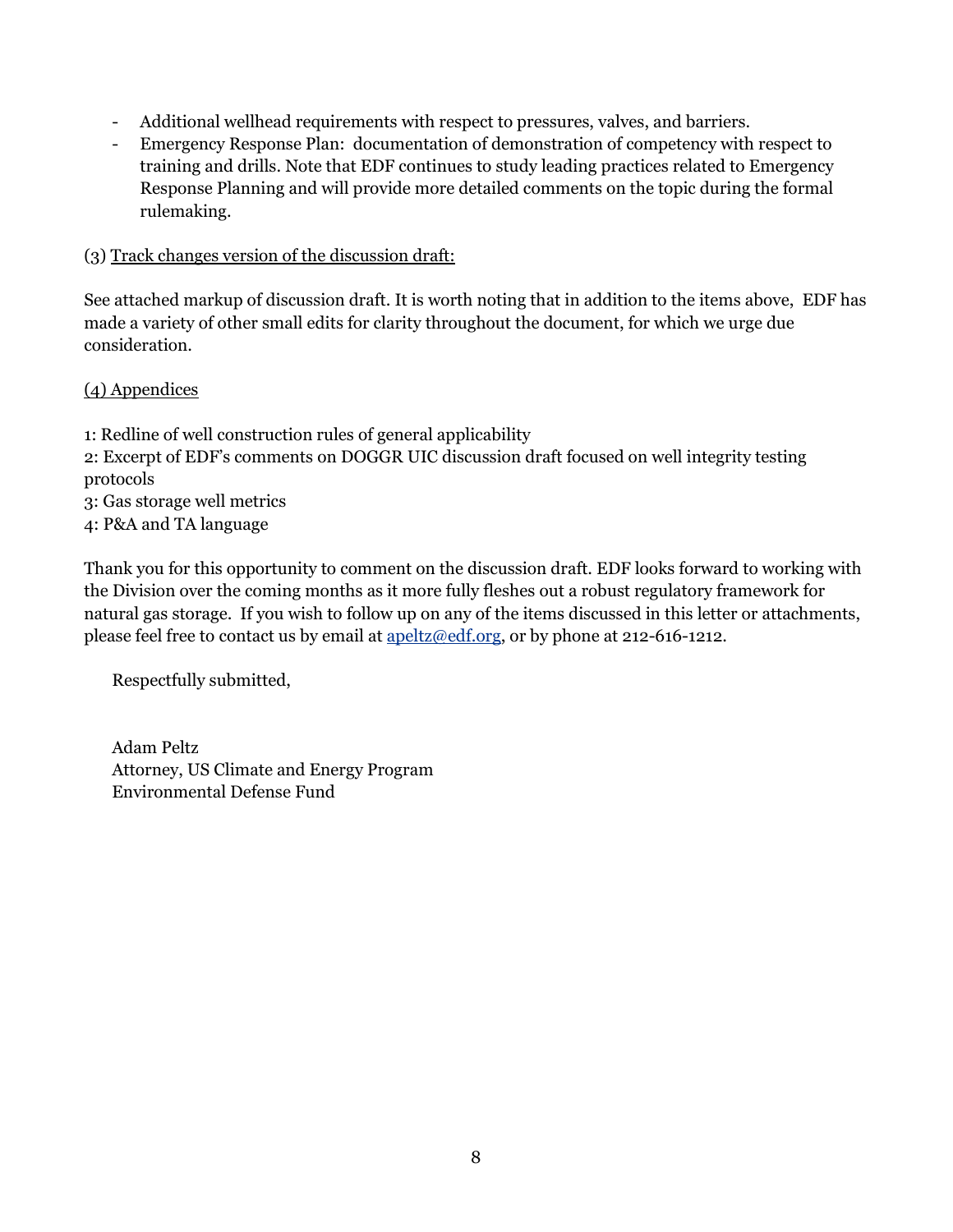- Additional wellhead requirements with respect to pressures, valves, and barriers.
- Emergency Response Plan: documentation of demonstration of competency with respect to training and drills. Note that EDF continues to study leading practices related to Emergency Response Planning and will provide more detailed comments on the topic during the formal rulemaking.

#### (3) Track changes version of the discussion draft:

See attached markup of discussion draft. It is worth noting that in addition to the items above, EDF has made a variety of other small edits for clarity throughout the document, for which we urge due consideration.

(4) Appendices

- 1: Redline of well construction rules of general applicability
- 2: Excerpt of EDF's comments on DOGGR UIC discussion draft focused on well integrity testing protocols
- 3: Gas storage well metrics
- 4: P&A and TA language

Thank you for this opportunity to comment on the discussion draft. EDF looks forward to working with the Division over the coming months as it more fully fleshes out a robust regulatory framework for natural gas storage. If you wish to follow up on any of the items discussed in this letter or attachments, please feel free to contact us by email at apeltz@edf.org, or by phone at 212-616-1212.

Respectfully submitted,

Adam Peltz Attorney, US Climate and Energy Program Environmental Defense Fund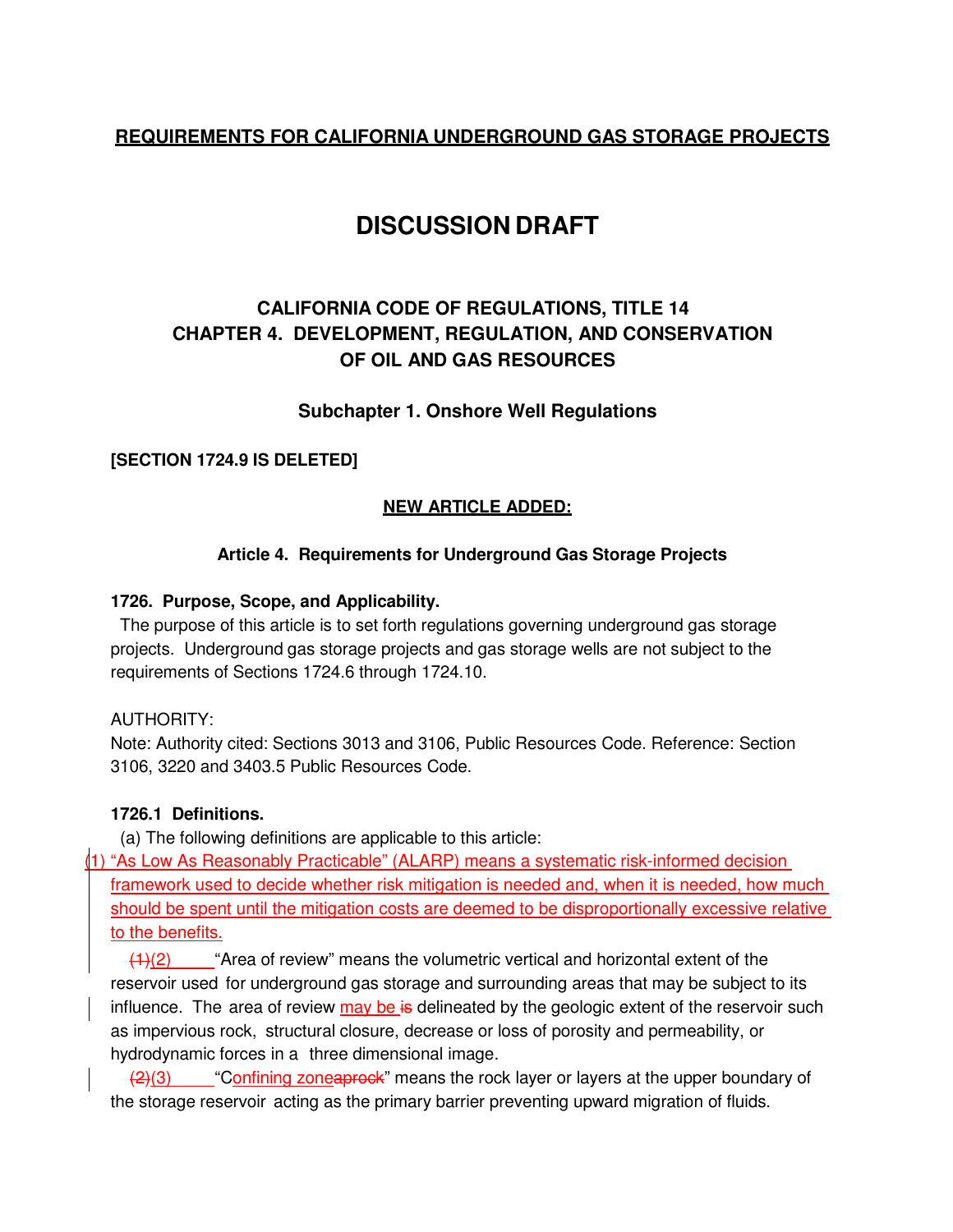## **REQUIREMENTS FOR CALIFORNIA UNDERGROUND GAS STORAGE PROJECTS**

# **DISCUSSION DRAFT**

## **CALIFORNIA CODE OF REGULATIONS, TITLE 14 CHAPTER 4. DEVELOPMENT, REGULATION, AND CONSERVATION OF OIL AND GAS RESOURCES**

### **Subchapter 1. Onshore Well Regulations**

#### **[SECTION 1724.9 IS DELETED]**

#### **NEW ARTICLE ADDED:**

#### **Article 4. Requirements for Underground Gas Storage Projects**

#### **1726. Purpose, Scope, and Applicability.**

The purpose of this article is to set forth regulations governing underground gas storage projects. Underground gas storage projects and gas storage wells are not subject to the requirements of Sections 1724.6 through 1724.10.

#### AUTHORITY:

Note: Authority cited: Sections 3013 and 3106, Public Resources Code. Reference: Section 3106, 3220 and 3403.5 Public Resources Code.

#### **1726.1 Definitions.**

(a) The following definitions are applicable to this article:

(1) "As Low As Reasonably Practicable" (ALARP) means a systematic risk-informed decision framework used to decide whether risk mitigation is needed and, when it is needed, how much should be spent until the mitigation costs are deemed to be disproportionally excessive relative to the benefits.

 $(1)(2)$  "Area of review" means the volumetric vertical and horizontal extent of the reservoir used for underground gas storage and surrounding areas that may be subject to its influence. The area of review  $\frac{\text{may}}{\text{be}}$  is delineated by the geologic extent of the reservoir such as impervious rock, structural closure, decrease or loss of porosity and permeability, or hydrodynamic forces in a three dimensional image.

 $\frac{1}{2}(3)$  "Confining zoneaprock" means the rock layer or layers at the upper boundary of the storage reservoir acting as the primary barrier preventing upward migration of fluids.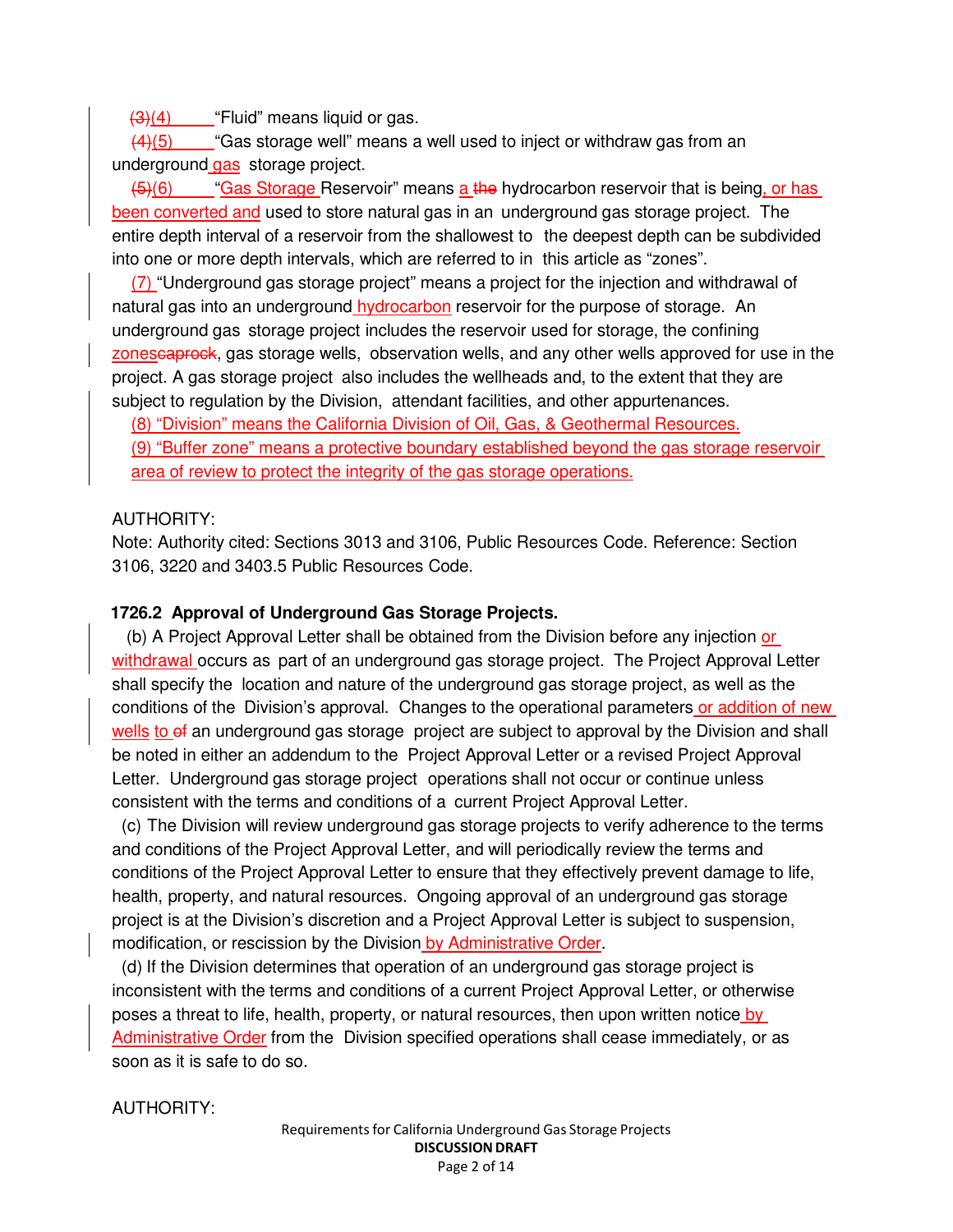$\left(4\right)$  "Fluid" means liquid or gas.

 $(4)(5)$  "Gas storage well" means a well used to inject or withdraw gas from an underground gas storage project.

(5)(6) "Gas Storage Reservoir" means a the hydrocarbon reservoir that is being, or has been converted and used to store natural gas in an underground gas storage project. The entire depth interval of a reservoir from the shallowest to the deepest depth can be subdivided into one or more depth intervals, which are referred to in this article as "zones".

(7) "Underground gas storage project" means a project for the injection and withdrawal of natural gas into an underground hydrocarbon reservoir for the purpose of storage. An underground gas storage project includes the reservoir used for storage, the confining zonescaprock, gas storage wells, observation wells, and any other wells approved for use in the project. A gas storage project also includes the wellheads and, to the extent that they are subject to regulation by the Division, attendant facilities, and other appurtenances.

(8) "Division" means the California Division of Oil, Gas, & Geothermal Resources. (9) "Buffer zone" means a protective boundary established beyond the gas storage reservoir area of review to protect the integrity of the gas storage operations.

#### AUTHORITY:

Note: Authority cited: Sections 3013 and 3106, Public Resources Code. Reference: Section 3106, 3220 and 3403.5 Public Resources Code.

#### **1726.2 Approval of Underground Gas Storage Projects.**

(b) A Project Approval Letter shall be obtained from the Division before any injection or withdrawal occurs as part of an underground gas storage project. The Project Approval Letter shall specify the location and nature of the underground gas storage project, as well as the conditions of the Division's approval. Changes to the operational parameters or addition of new wells to of an underground gas storage project are subject to approval by the Division and shall be noted in either an addendum to the Project Approval Letter or a revised Project Approval Letter. Underground gas storage project operations shall not occur or continue unless consistent with the terms and conditions of a current Project Approval Letter.

(c) The Division will review underground gas storage projects to verify adherence to the terms and conditions of the Project Approval Letter, and will periodically review the terms and conditions of the Project Approval Letter to ensure that they effectively prevent damage to life, health, property, and natural resources. Ongoing approval of an underground gas storage project is at the Division's discretion and a Project Approval Letter is subject to suspension, modification, or rescission by the Division by Administrative Order.

(d) If the Division determines that operation of an underground gas storage project is inconsistent with the terms and conditions of a current Project Approval Letter, or otherwise poses a threat to life, health, property, or natural resources, then upon written notice by Administrative Order from the Division specified operations shall cease immediately, or as soon as it is safe to do so.

#### AUTHORITY: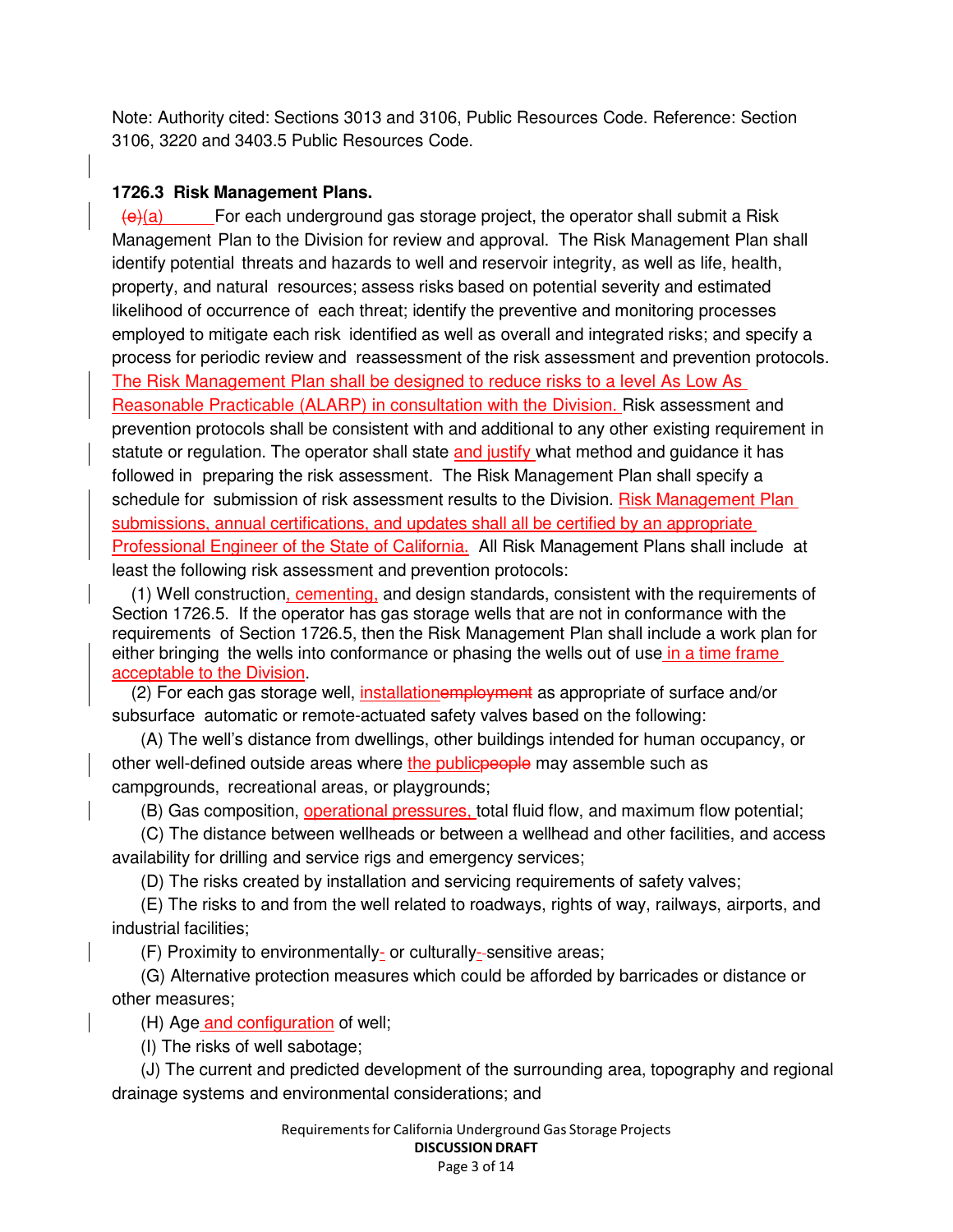Note: Authority cited: Sections 3013 and 3106, Public Resources Code. Reference: Section 3106, 3220 and 3403.5 Public Resources Code.

#### **1726.3 Risk Management Plans.**

 $\Theta$ (a) For each underground gas storage project, the operator shall submit a Risk Management Plan to the Division for review and approval. The Risk Management Plan shall identify potential threats and hazards to well and reservoir integrity, as well as life, health, property, and natural resources; assess risks based on potential severity and estimated likelihood of occurrence of each threat; identify the preventive and monitoring processes employed to mitigate each risk identified as well as overall and integrated risks; and specify a process for periodic review and reassessment of the risk assessment and prevention protocols. The Risk Management Plan shall be designed to reduce risks to a level As Low As Reasonable Practicable (ALARP) in consultation with the Division. Risk assessment and prevention protocols shall be consistent with and additional to any other existing requirement in statute or regulation. The operator shall state and justify what method and guidance it has followed in preparing the risk assessment. The Risk Management Plan shall specify a schedule for submission of risk assessment results to the Division. Risk Management Plan submissions, annual certifications, and updates shall all be certified by an appropriate Professional Engineer of the State of California. All Risk Management Plans shall include at least the following risk assessment and prevention protocols:

(1) Well construction, cementing, and design standards, consistent with the requirements of Section 1726.5. If the operator has gas storage wells that are not in conformance with the requirements of Section 1726.5, then the Risk Management Plan shall include a work plan for either bringing the wells into conformance or phasing the wells out of use in a time frame acceptable to the Division.

(2) For each gas storage well, installationemployment as appropriate of surface and/or subsurface automatic or remote-actuated safety valves based on the following:

(A) The well's distance from dwellings, other buildings intended for human occupancy, or other well-defined outside areas where the public people may assemble such as campgrounds, recreational areas, or playgrounds;

(B) Gas composition, operational pressures, total fluid flow, and maximum flow potential;

(C) The distance between wellheads or between a wellhead and other facilities, and access availability for drilling and service rigs and emergency services;

(D) The risks created by installation and servicing requirements of safety valves;

(E) The risks to and from the well related to roadways, rights of way, railways, airports, and industrial facilities;

(F) Proximity to environmentally- or culturally-sensitive areas;

(G) Alternative protection measures which could be afforded by barricades or distance or other measures;

(H) Age and configuration of well;

(I) The risks of well sabotage;

(J) The current and predicted development of the surrounding area, topography and regional drainage systems and environmental considerations; and

> Requirementsfor California Underground Gas Storage Projects DISCUSSION DRAFT Page 3 of 14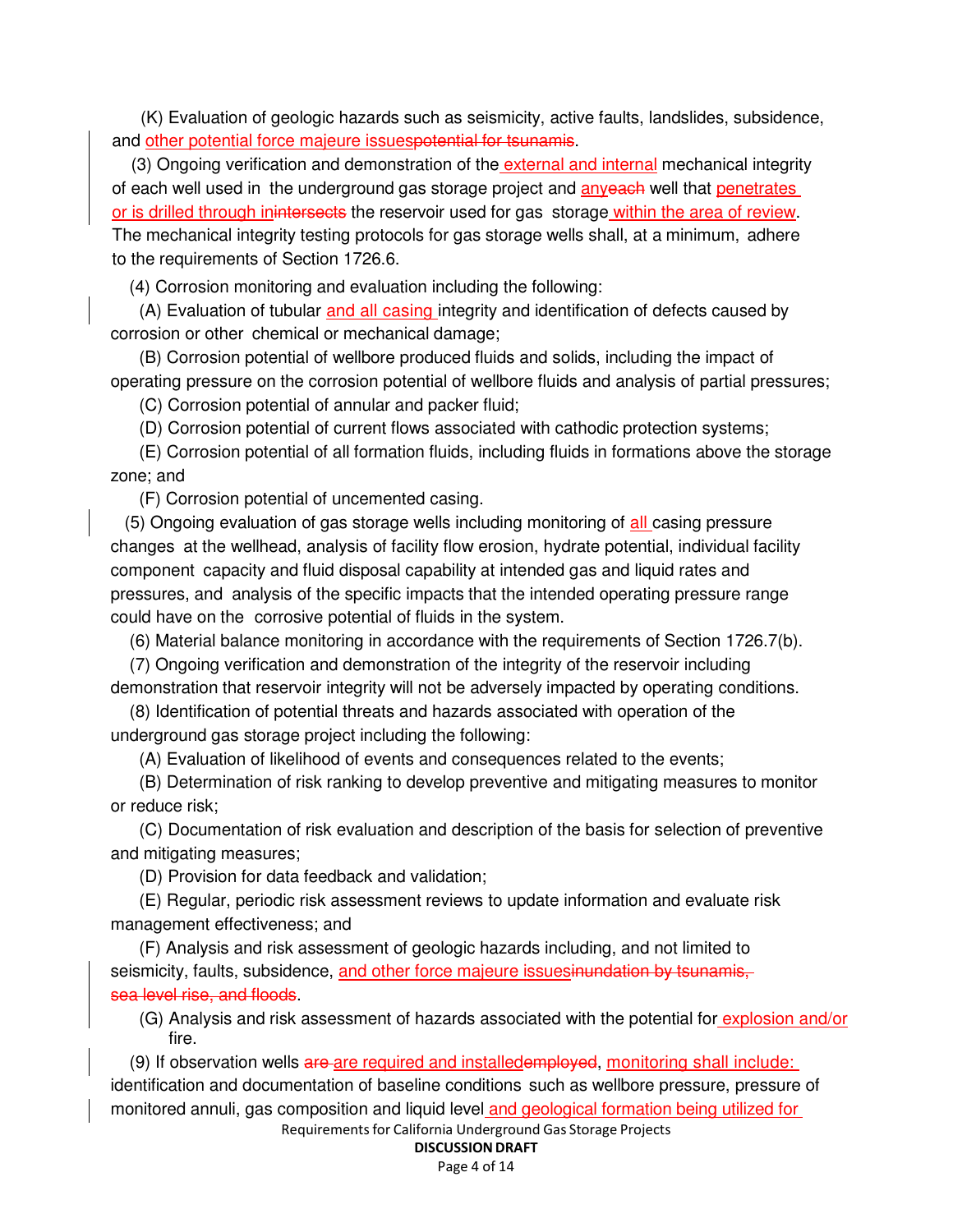(K) Evaluation of geologic hazards such as seismicity, active faults, landslides, subsidence, and other potential force majeure issuespotential for tsunamis.

(3) Ongoing verification and demonstration of the external and internal mechanical integrity of each well used in the underground gas storage project and **anyeach** well that penetrates or is drilled through inintersects the reservoir used for gas storage within the area of review. The mechanical integrity testing protocols for gas storage wells shall, at a minimum, adhere to the requirements of Section 1726.6.

(4) Corrosion monitoring and evaluation including the following:

(A) Evaluation of tubular and all casing integrity and identification of defects caused by corrosion or other chemical or mechanical damage;

(B) Corrosion potential of wellbore produced fluids and solids, including the impact of operating pressure on the corrosion potential of wellbore fluids and analysis of partial pressures;

(C) Corrosion potential of annular and packer fluid;

(D) Corrosion potential of current flows associated with cathodic protection systems;

(E) Corrosion potential of all formation fluids, including fluids in formations above the storage zone; and

(F) Corrosion potential of uncemented casing.

(5) Ongoing evaluation of gas storage wells including monitoring of all casing pressure changes at the wellhead, analysis of facility flow erosion, hydrate potential, individual facility component capacity and fluid disposal capability at intended gas and liquid rates and pressures, and analysis of the specific impacts that the intended operating pressure range could have on the corrosive potential of fluids in the system.

(6) Material balance monitoring in accordance with the requirements of Section 1726.7(b).

(7) Ongoing verification and demonstration of the integrity of the reservoir including demonstration that reservoir integrity will not be adversely impacted by operating conditions.

(8) Identification of potential threats and hazards associated with operation of the underground gas storage project including the following:

(A) Evaluation of likelihood of events and consequences related to the events;

(B) Determination of risk ranking to develop preventive and mitigating measures to monitor or reduce risk;

(C) Documentation of risk evaluation and description of the basis for selection of preventive and mitigating measures;

(D) Provision for data feedback and validation;

(E) Regular, periodic risk assessment reviews to update information and evaluate risk management effectiveness; and

(F) Analysis and risk assessment of geologic hazards including, and not limited to seismicity, faults, subsidence, and other force majeure issuesinundation by tsunamis, sea level rise, and floods.

(G) Analysis and risk assessment of hazards associated with the potential for explosion and/or fire.

Requirementsfor California Underground Gas Storage Projects (9) If observation wells are are required and installedemployed, monitoring shall include: identification and documentation of baseline conditions such as wellbore pressure, pressure of monitored annuli, gas composition and liquid level and geological formation being utilized for

DISCUSSION DRAFT

Page 4 of 14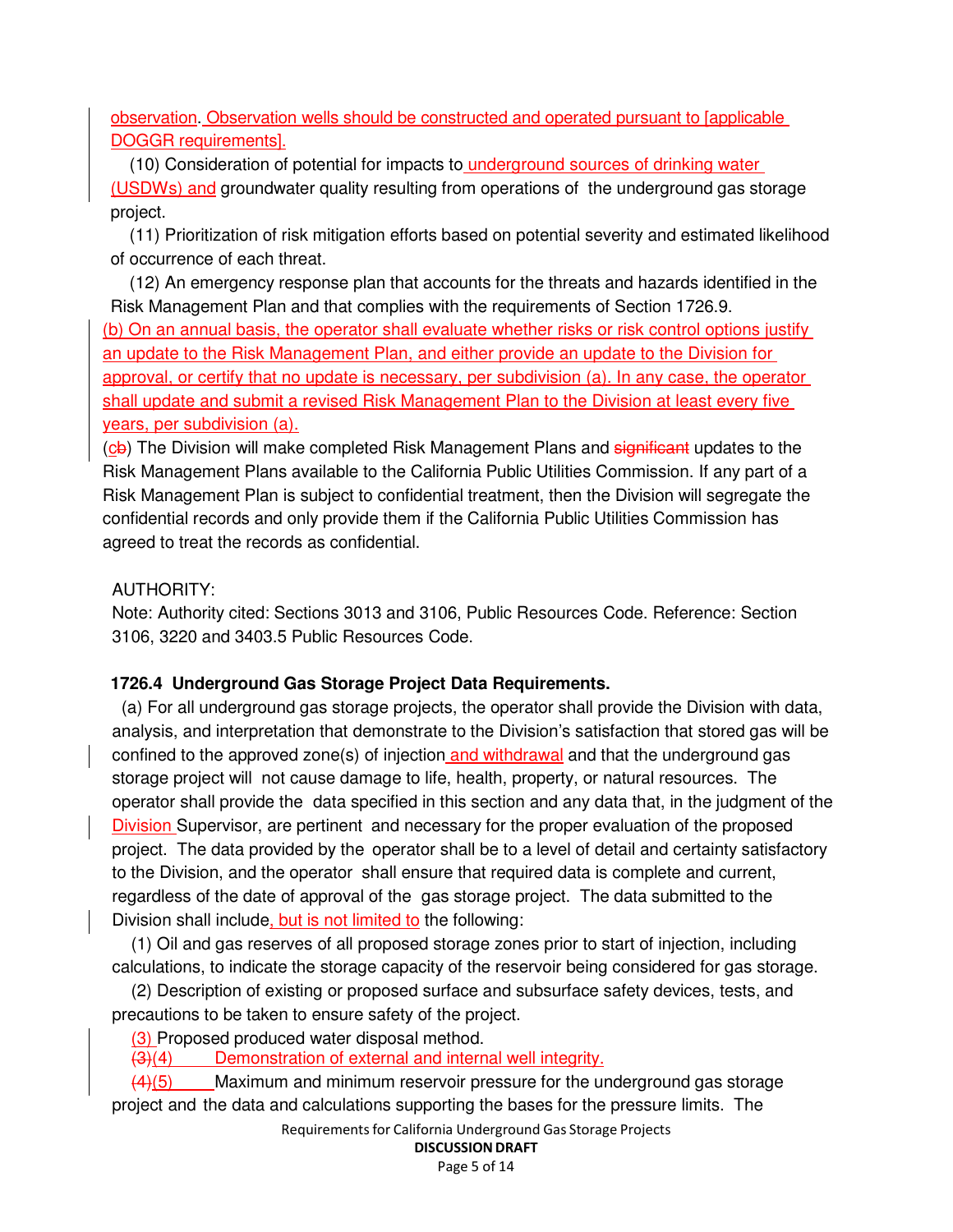observation. Observation wells should be constructed and operated pursuant to [applicable DOGGR requirements].

(10) Consideration of potential for impacts to underground sources of drinking water (USDWs) and groundwater quality resulting from operations of the underground gas storage project.

(11) Prioritization of risk mitigation efforts based on potential severity and estimated likelihood of occurrence of each threat.

(12) An emergency response plan that accounts for the threats and hazards identified in the Risk Management Plan and that complies with the requirements of Section 1726.9.

(b) On an annual basis, the operator shall evaluate whether risks or risk control options justify an update to the Risk Management Plan, and either provide an update to the Division for approval, or certify that no update is necessary, per subdivision (a). In any case, the operator shall update and submit a revised Risk Management Plan to the Division at least every five years, per subdivision (a).

(cb) The Division will make completed Risk Management Plans and significant updates to the Risk Management Plans available to the California Public Utilities Commission. If any part of a Risk Management Plan is subject to confidential treatment, then the Division will segregate the confidential records and only provide them if the California Public Utilities Commission has agreed to treat the records as confidential.

### AUTHORITY:

Note: Authority cited: Sections 3013 and 3106, Public Resources Code. Reference: Section 3106, 3220 and 3403.5 Public Resources Code.

### **1726.4 Underground Gas Storage Project Data Requirements.**

(a) For all underground gas storage projects, the operator shall provide the Division with data, analysis, and interpretation that demonstrate to the Division's satisfaction that stored gas will be confined to the approved zone(s) of injection and withdrawal and that the underground gas storage project will not cause damage to life, health, property, or natural resources. The operator shall provide the data specified in this section and any data that, in the judgment of the Division Supervisor, are pertinent and necessary for the proper evaluation of the proposed project. The data provided by the operator shall be to a level of detail and certainty satisfactory to the Division, and the operator shall ensure that required data is complete and current, regardless of the date of approval of the gas storage project. The data submitted to the Division shall include, but is not limited to the following:

(1) Oil and gas reserves of all proposed storage zones prior to start of injection, including calculations, to indicate the storage capacity of the reservoir being considered for gas storage.

(2) Description of existing or proposed surface and subsurface safety devices, tests, and precautions to be taken to ensure safety of the project.

(3) Proposed produced water disposal method.

(3)(4) Demonstration of external and internal well integrity.

 $\frac{(4)(5)}{2}$  Maximum and minimum reservoir pressure for the underground gas storage project and the data and calculations supporting the bases for the pressure limits. The

Requirementsfor California Underground Gas Storage Projects

## DISCUSSION DRAFT

Page 5 of 14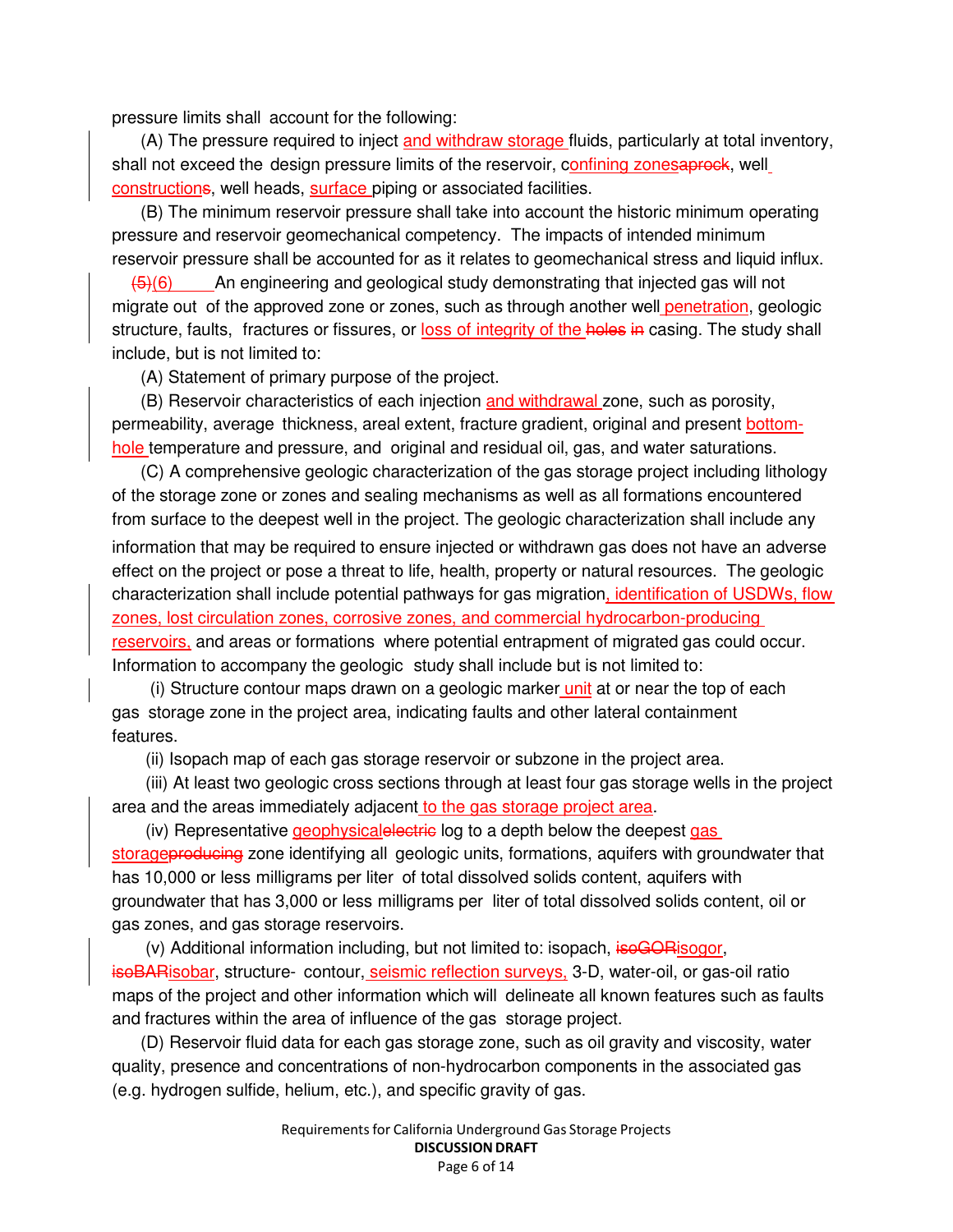pressure limits shall account for the following:

(A) The pressure required to inject and withdraw storage fluids, particularly at total inventory, shall not exceed the design pressure limits of the reservoir, confining zonesaprock, well constructions, well heads, surface piping or associated facilities.

(B) The minimum reservoir pressure shall take into account the historic minimum operating pressure and reservoir geomechanical competency. The impacts of intended minimum reservoir pressure shall be accounted for as it relates to geomechanical stress and liquid influx.

 $\left(6\right)$  An engineering and geological study demonstrating that injected gas will not migrate out of the approved zone or zones, such as through another well penetration, geologic structure, faults, fractures or fissures, or loss of integrity of the holes in casing. The study shall include, but is not limited to:

(A) Statement of primary purpose of the project.

(B) Reservoir characteristics of each injection and withdrawal zone, such as porosity, permeability, average thickness, areal extent, fracture gradient, original and present bottomhole temperature and pressure, and original and residual oil, gas, and water saturations.

(C) A comprehensive geologic characterization of the gas storage project including lithology of the storage zone or zones and sealing mechanisms as well as all formations encountered from surface to the deepest well in the project. The geologic characterization shall include any information that may be required to ensure injected or withdrawn gas does not have an adverse effect on the project or pose a threat to life, health, property or natural resources. The geologic characterization shall include potential pathways for gas migration, identification of USDWs, flow zones, lost circulation zones, corrosive zones, and commercial hydrocarbon-producing reservoirs, and areas or formations where potential entrapment of migrated gas could occur. Information to accompany the geologic study shall include but is not limited to:

(i) Structure contour maps drawn on a geologic marker unit at or near the top of each gas storage zone in the project area, indicating faults and other lateral containment features.

(ii) Isopach map of each gas storage reservoir or subzone in the project area.

(iii) At least two geologic cross sections through at least four gas storage wells in the project area and the areas immediately adjacent to the gas storage project area.

(iv) Representative geophysicalelectric log to a depth below the deepest gas storageproducing zone identifying all geologic units, formations, aquifers with groundwater that has 10,000 or less milligrams per liter of total dissolved solids content, aquifers with groundwater that has 3,000 or less milligrams per liter of total dissolved solids content, oil or gas zones, and gas storage reservoirs.

(v) Additional information including, but not limited to: isopach, isoGORisogor, isoBARisobar, structure- contour, seismic reflection surveys, 3-D, water-oil, or gas-oil ratio maps of the project and other information which will delineate all known features such as faults and fractures within the area of influence of the gas storage project.

(D) Reservoir fluid data for each gas storage zone, such as oil gravity and viscosity, water quality, presence and concentrations of non-hydrocarbon components in the associated gas (e.g. hydrogen sulfide, helium, etc.), and specific gravity of gas.

> Requirementsfor California Underground Gas Storage Projects DISCUSSION DRAFT Page 6 of 14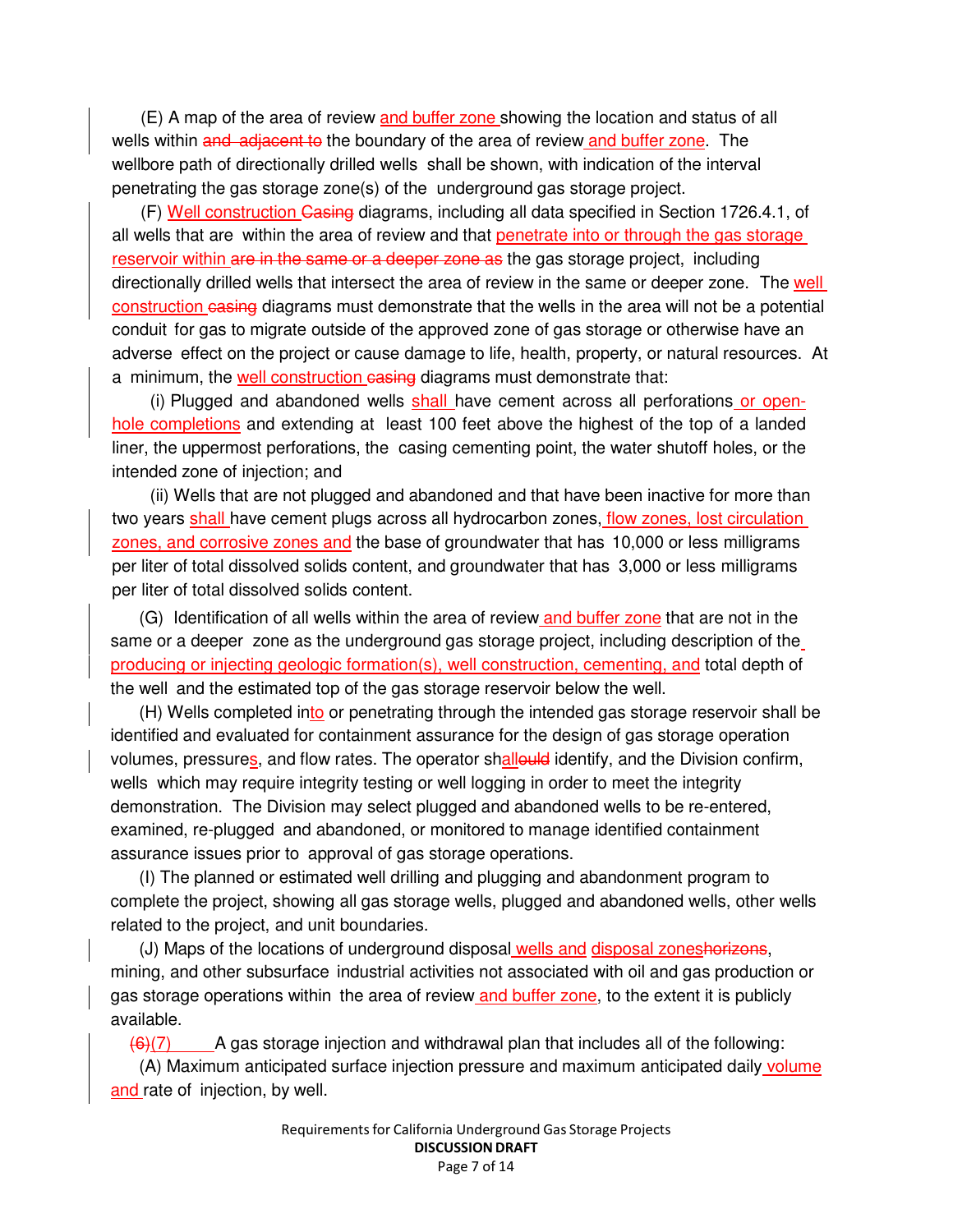(E) A map of the area of review and buffer zone showing the location and status of all wells within and adjacent to the boundary of the area of review and buffer zone. The wellbore path of directionally drilled wells shall be shown, with indication of the interval penetrating the gas storage zone(s) of the underground gas storage project.

(F) Well construction Casing diagrams, including all data specified in Section 1726.4.1, of all wells that are within the area of review and that penetrate into or through the gas storage reservoir within are in the same or a deeper zone as the gas storage project, including directionally drilled wells that intersect the area of review in the same or deeper zone. The well construction casing diagrams must demonstrate that the wells in the area will not be a potential conduit for gas to migrate outside of the approved zone of gas storage or otherwise have an adverse effect on the project or cause damage to life, health, property, or natural resources. At a minimum, the well construction easing diagrams must demonstrate that:

(i) Plugged and abandoned wells shall have cement across all perforations or openhole completions and extending at least 100 feet above the highest of the top of a landed liner, the uppermost perforations, the casing cementing point, the water shutoff holes, or the intended zone of injection; and

(ii) Wells that are not plugged and abandoned and that have been inactive for more than two years shall have cement plugs across all hydrocarbon zones, *flow zones*, lost circulation zones, and corrosive zones and the base of groundwater that has 10,000 or less milligrams per liter of total dissolved solids content, and groundwater that has 3,000 or less milligrams per liter of total dissolved solids content.

(G) Identification of all wells within the area of review and buffer zone that are not in the same or a deeper zone as the underground gas storage project, including description of the producing or injecting geologic formation(s), well construction, cementing, and total depth of the well and the estimated top of the gas storage reservoir below the well.

(H) Wells completed into or penetrating through the intended gas storage reservoir shall be identified and evaluated for containment assurance for the design of gas storage operation volumes, pressures, and flow rates. The operator shallould identify, and the Division confirm, wells which may require integrity testing or well logging in order to meet the integrity demonstration. The Division may select plugged and abandoned wells to be re-entered, examined, re-plugged and abandoned, or monitored to manage identified containment assurance issues prior to approval of gas storage operations.

(I) The planned or estimated well drilling and plugging and abandonment program to complete the project, showing all gas storage wells, plugged and abandoned wells, other wells related to the project, and unit boundaries.

(J) Maps of the locations of underground disposal wells and disposal zoneshorizons, mining, and other subsurface industrial activities not associated with oil and gas production or gas storage operations within the area of review and buffer zone, to the extent it is publicly available.

 $(6)(7)$  A gas storage injection and withdrawal plan that includes all of the following:

(A) Maximum anticipated surface injection pressure and maximum anticipated daily volume and rate of injection, by well.

> Requirementsfor California Underground Gas Storage Projects DISCUSSION DRAFT Page 7 of 14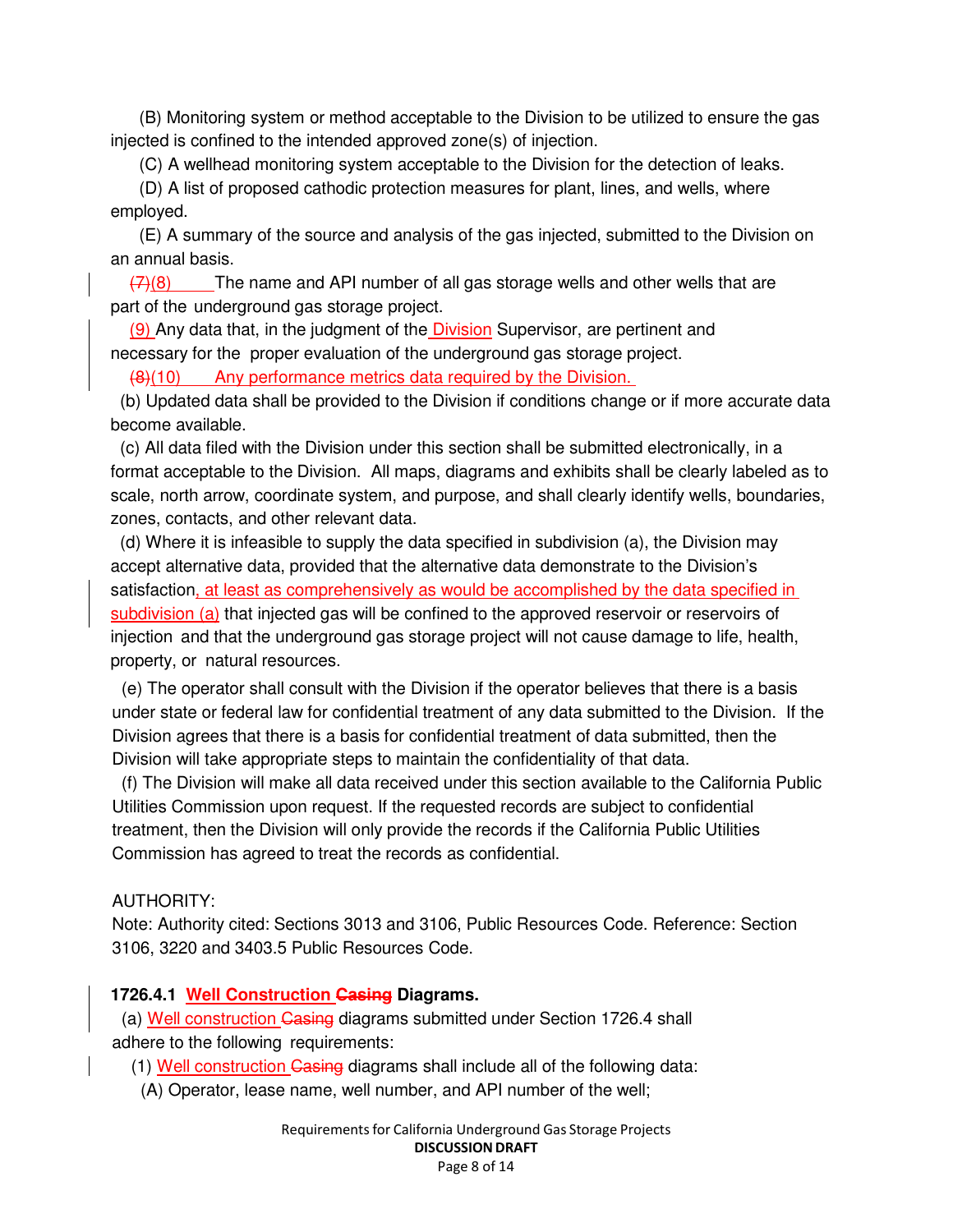(B) Monitoring system or method acceptable to the Division to be utilized to ensure the gas injected is confined to the intended approved zone(s) of injection.

(C) A wellhead monitoring system acceptable to the Division for the detection of leaks.

(D) A list of proposed cathodic protection measures for plant, lines, and wells, where employed.

(E) A summary of the source and analysis of the gas injected, submitted to the Division on an annual basis.

 $(7)(8)$  The name and API number of all gas storage wells and other wells that are part of the underground gas storage project.

(9) Any data that, in the judgment of the Division Supervisor, are pertinent and necessary for the proper evaluation of the underground gas storage project.

(8)(10) Any performance metrics data required by the Division.

(b) Updated data shall be provided to the Division if conditions change or if more accurate data become available.

(c) All data filed with the Division under this section shall be submitted electronically, in a format acceptable to the Division. All maps, diagrams and exhibits shall be clearly labeled as to scale, north arrow, coordinate system, and purpose, and shall clearly identify wells, boundaries, zones, contacts, and other relevant data.

(d) Where it is infeasible to supply the data specified in subdivision (a), the Division may accept alternative data, provided that the alternative data demonstrate to the Division's satisfaction, at least as comprehensively as would be accomplished by the data specified in subdivision (a) that injected gas will be confined to the approved reservoir or reservoirs of injection and that the underground gas storage project will not cause damage to life, health, property, or natural resources.

(e) The operator shall consult with the Division if the operator believes that there is a basis under state or federal law for confidential treatment of any data submitted to the Division. If the Division agrees that there is a basis for confidential treatment of data submitted, then the Division will take appropriate steps to maintain the confidentiality of that data.

(f) The Division will make all data received under this section available to the California Public Utilities Commission upon request. If the requested records are subject to confidential treatment, then the Division will only provide the records if the California Public Utilities Commission has agreed to treat the records as confidential.

#### AUTHORITY:

Note: Authority cited: Sections 3013 and 3106, Public Resources Code. Reference: Section 3106, 3220 and 3403.5 Public Resources Code.

#### **1726.4.1 Well Construction Casing Diagrams.**

(a) Well construction Casing diagrams submitted under Section 1726.4 shall adhere to the following requirements:

(1) Well construction Casing diagrams shall include all of the following data:

(A) Operator, lease name, well number, and API number of the well;

Requirementsfor California Underground Gas Storage Projects DISCUSSION DRAFT Page 8 of 14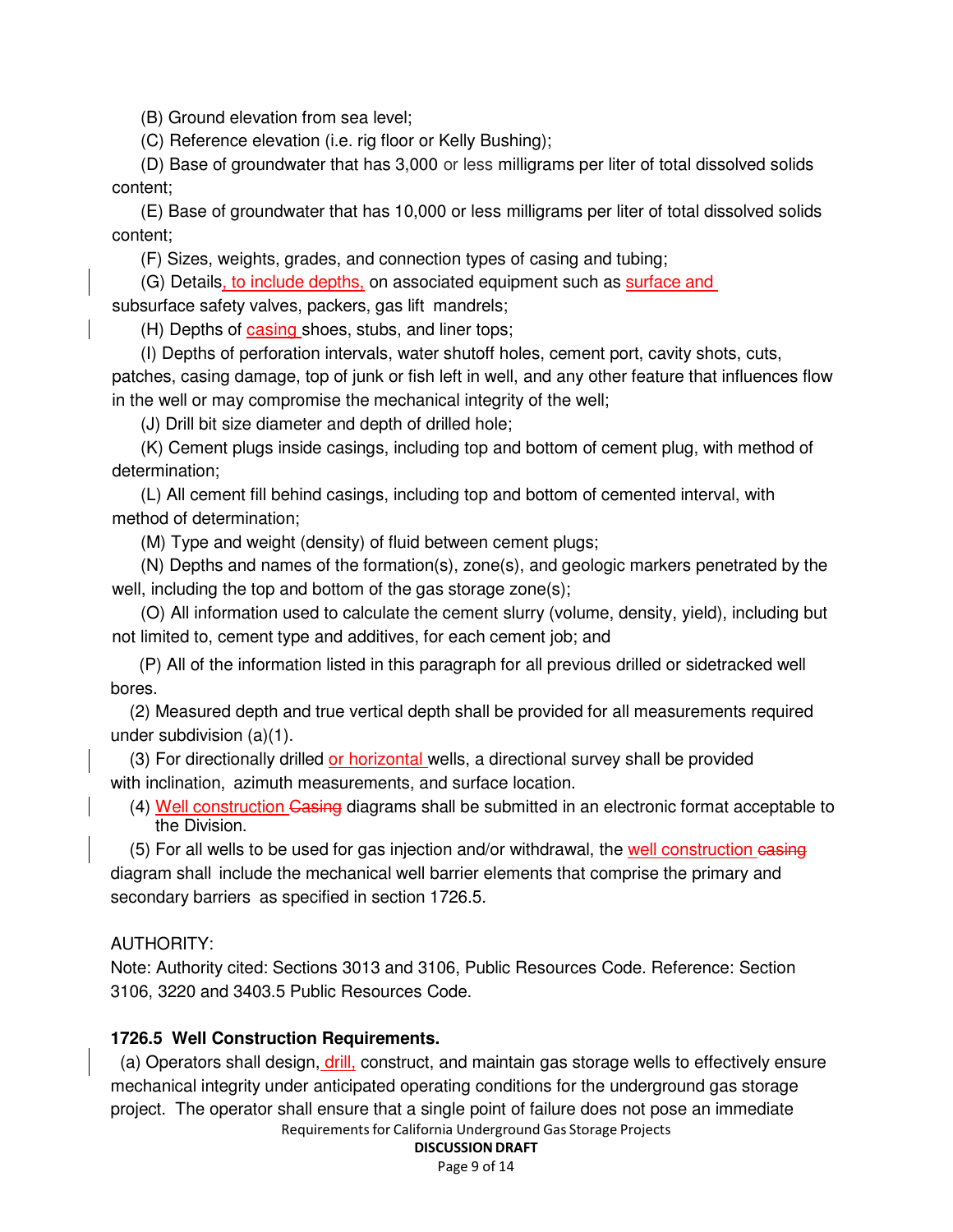(B) Ground elevation from sea level;

(C) Reference elevation (i.e. rig floor or Kelly Bushing);

(D) Base of groundwater that has 3,000 or less milligrams per liter of total dissolved solids content;

(E) Base of groundwater that has 10,000 or less milligrams per liter of total dissolved solids content;

(F) Sizes, weights, grades, and connection types of casing and tubing;

(G) Details, to include depths, on associated equipment such as surface and

subsurface safety valves, packers, gas lift mandrels;

(H) Depths of casing shoes, stubs, and liner tops;

(I) Depths of perforation intervals, water shutoff holes, cement port, cavity shots, cuts,

patches, casing damage, top of junk or fish left in well, and any other feature that influences flow in the well or may compromise the mechanical integrity of the well;

(J) Drill bit size diameter and depth of drilled hole;

(K) Cement plugs inside casings, including top and bottom of cement plug, with method of determination;

(L) All cement fill behind casings, including top and bottom of cemented interval, with method of determination;

(M) Type and weight (density) of fluid between cement plugs;

(N) Depths and names of the formation(s), zone(s), and geologic markers penetrated by the well, including the top and bottom of the gas storage zone(s);

(O) All information used to calculate the cement slurry (volume, density, yield), including but not limited to, cement type and additives, for each cement job; and

(P) All of the information listed in this paragraph for all previous drilled or sidetracked well bores.

(2) Measured depth and true vertical depth shall be provided for all measurements required under subdivision (a)(1).

(3) For directionally drilled or horizontal wells, a directional survey shall be provided with inclination, azimuth measurements, and surface location.

(4) Well construction Casing diagrams shall be submitted in an electronic format acceptable to the Division.

(5) For all wells to be used for gas injection and/or withdrawal, the well construction easing diagram shall include the mechanical well barrier elements that comprise the primary and secondary barriers as specified in section 1726.5.

#### AUTHORITY:

Note: Authority cited: Sections 3013 and 3106, Public Resources Code. Reference: Section 3106, 3220 and 3403.5 Public Resources Code.

#### **1726.5 Well Construction Requirements.**

Requirementsfor California Underground Gas Storage Projects (a) Operators shall design, drill, construct, and maintain gas storage wells to effectively ensure mechanical integrity under anticipated operating conditions for the underground gas storage project. The operator shall ensure that a single point of failure does not pose an immediate

#### DISCUSSION DRAFT

Page 9 of 14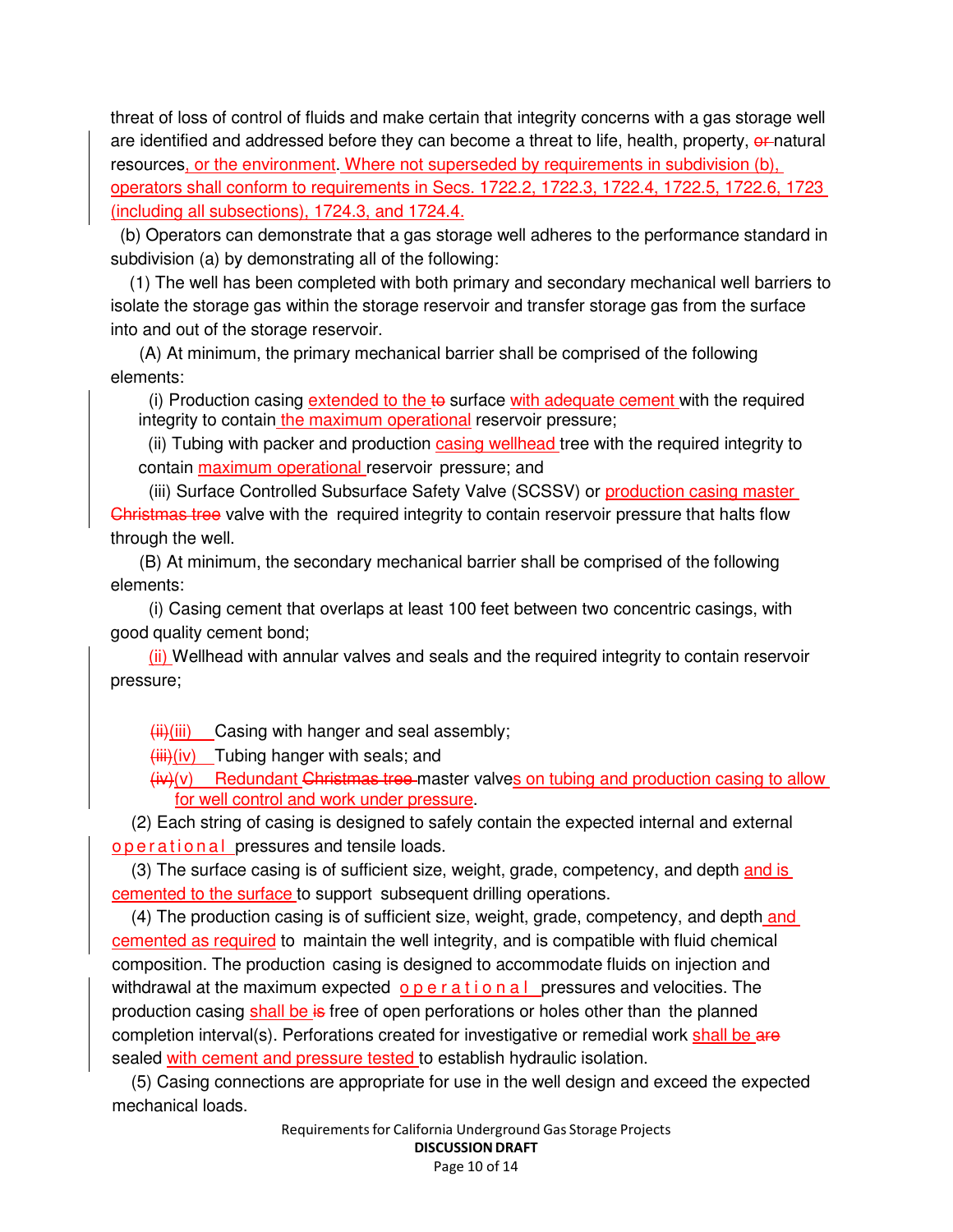threat of loss of control of fluids and make certain that integrity concerns with a gas storage well are identified and addressed before they can become a threat to life, health, property, or natural resources, or the environment. Where not superseded by requirements in subdivision (b), operators shall conform to requirements in Secs. 1722.2, 1722.3, 1722.4, 1722.5, 1722.6, 1723 (including all subsections), 1724.3, and 1724.4.

(b) Operators can demonstrate that a gas storage well adheres to the performance standard in subdivision (a) by demonstrating all of the following:

(1) The well has been completed with both primary and secondary mechanical well barriers to isolate the storage gas within the storage reservoir and transfer storage gas from the surface into and out of the storage reservoir.

(A) At minimum, the primary mechanical barrier shall be comprised of the following elements:

 $(i)$  Production casing extended to the  $t\ddot{\theta}$  surface with adequate cement with the required integrity to contain the maximum operational reservoir pressure;

(ii) Tubing with packer and production casing wellhead tree with the required integrity to contain maximum operational reservoir pressure; and

(iii) Surface Controlled Subsurface Safety Valve (SCSSV) or production casing master Christmas tree valve with the required integrity to contain reservoir pressure that halts flow through the well.

(B) At minimum, the secondary mechanical barrier shall be comprised of the following elements:

(i) Casing cement that overlaps at least 100 feet between two concentric casings, with good quality cement bond;

(ii) Wellhead with annular valves and seals and the required integrity to contain reservoir pressure;

 $\overline{\text{iii}}$ (iii) Casing with hanger and seal assembly;

 $(iii)(iv)$  Tubing hanger with seals; and

 $(i\theta)(v)$  Redundant Christmas tree-master valves on tubing and production casing to allow for well control and work under pressure.

(2) Each string of casing is designed to safely contain the expected internal and external o p e r a tional pressures and tensile loads.

(3) The surface casing is of sufficient size, weight, grade, competency, and depth and is cemented to the surface to support subsequent drilling operations.

(4) The production casing is of sufficient size, weight, grade, competency, and depth and cemented as required to maintain the well integrity, and is compatible with fluid chemical composition. The production casing is designed to accommodate fluids on injection and withdrawal at the maximum expected  $\rho$  p e r a t i o n a l pressures and velocities. The production casing shall be is free of open perforations or holes other than the planned completion interval(s). Perforations created for investigative or remedial work shall be are sealed with cement and pressure tested to establish hydraulic isolation.

(5) Casing connections are appropriate for use in the well design and exceed the expected mechanical loads.

> Requirementsfor California Underground Gas Storage Projects DISCUSSION DRAFT Page 10 of 14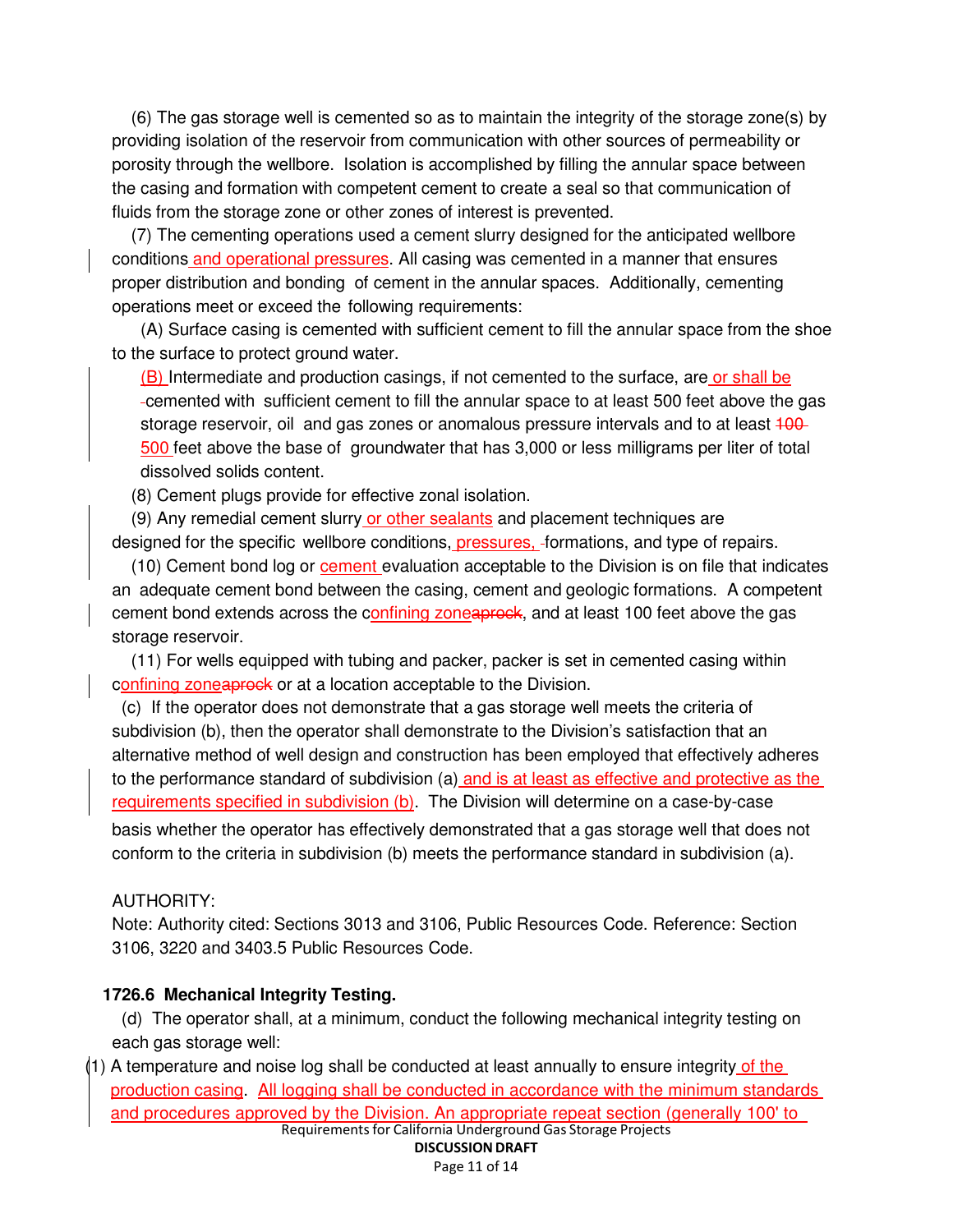(6) The gas storage well is cemented so as to maintain the integrity of the storage zone(s) by providing isolation of the reservoir from communication with other sources of permeability or porosity through the wellbore. Isolation is accomplished by filling the annular space between the casing and formation with competent cement to create a seal so that communication of fluids from the storage zone or other zones of interest is prevented.

(7) The cementing operations used a cement slurry designed for the anticipated wellbore conditions and operational pressures. All casing was cemented in a manner that ensures proper distribution and bonding of cement in the annular spaces. Additionally, cementing operations meet or exceed the following requirements:

(A) Surface casing is cemented with sufficient cement to fill the annular space from the shoe to the surface to protect ground water.

(B) Intermediate and production casings, if not cemented to the surface, are or shall be cemented with sufficient cement to fill the annular space to at least 500 feet above the gas storage reservoir, oil and gas zones or anomalous pressure intervals and to at least 400-500 feet above the base of groundwater that has 3,000 or less milligrams per liter of total dissolved solids content.

(8) Cement plugs provide for effective zonal isolation.

(9) Any remedial cement slurry or other sealants and placement techniques are designed for the specific wellbore conditions, pressures, formations, and type of repairs.

(10) Cement bond log or cement evaluation acceptable to the Division is on file that indicates an adequate cement bond between the casing, cement and geologic formations. A competent cement bond extends across the confining zoneaprock, and at least 100 feet above the gas storage reservoir.

(11) For wells equipped with tubing and packer, packer is set in cemented casing within confining zoneaprock or at a location acceptable to the Division.

(c) If the operator does not demonstrate that a gas storage well meets the criteria of subdivision (b), then the operator shall demonstrate to the Division's satisfaction that an alternative method of well design and construction has been employed that effectively adheres to the performance standard of subdivision (a) and is at least as effective and protective as the requirements specified in subdivision (b). The Division will determine on a case-by-case basis whether the operator has effectively demonstrated that a gas storage well that does not conform to the criteria in subdivision (b) meets the performance standard in subdivision (a).

#### AUTHORITY:

Note: Authority cited: Sections 3013 and 3106, Public Resources Code. Reference: Section 3106, 3220 and 3403.5 Public Resources Code.

### **1726.6 Mechanical Integrity Testing.**

(d) The operator shall, at a minimum, conduct the following mechanical integrity testing on each gas storage well:

Requirements for California Underground Gas Storage Projects  $(1)$  A temperature and noise log shall be conducted at least annually to ensure integrity of the production casing. All logging shall be conducted in accordance with the minimum standards and procedures approved by the Division. An appropriate repeat section (generally 100' to

DISCUSSION DRAFT Page 11 of 14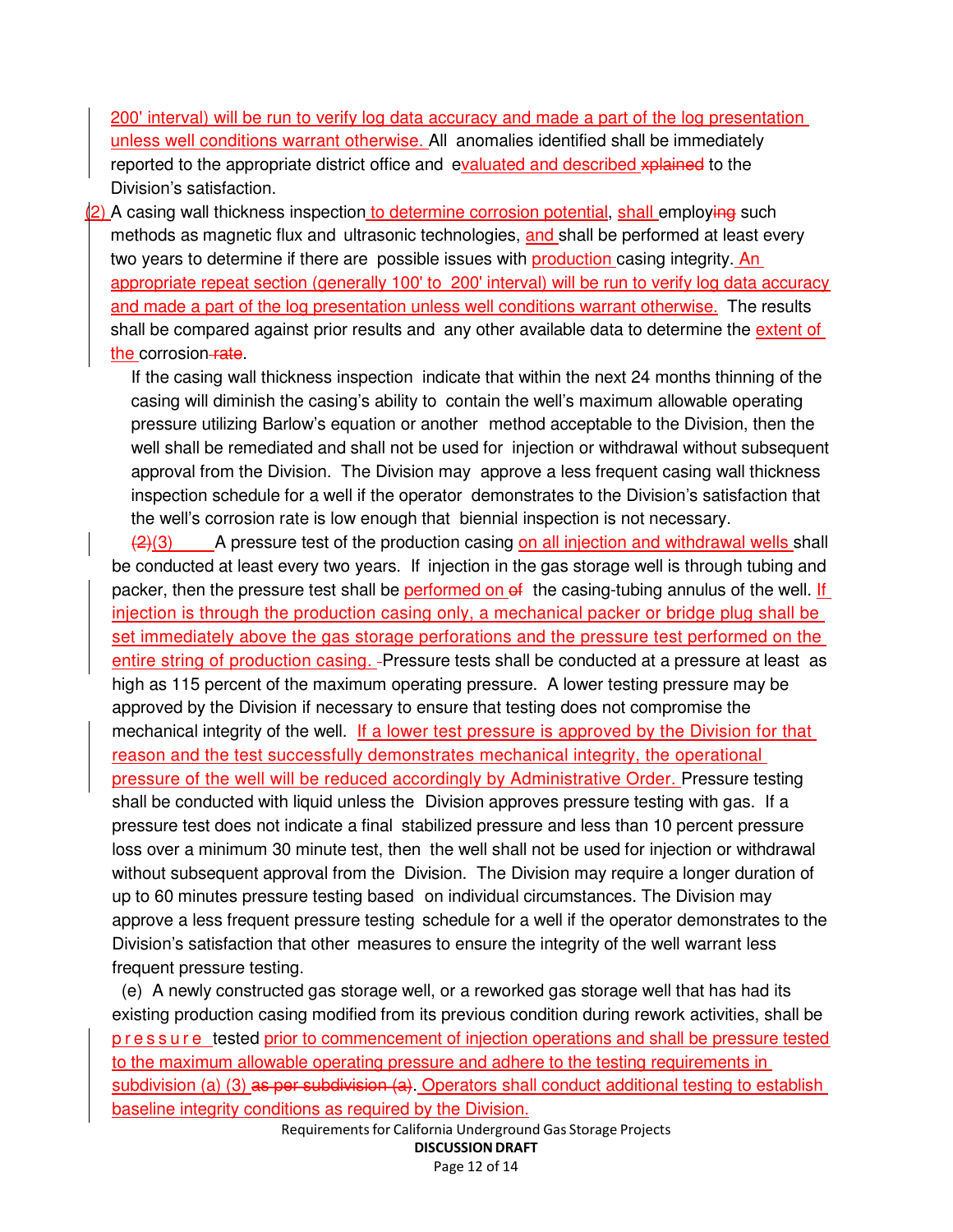200' interval) will be run to verify log data accuracy and made a part of the log presentation unless well conditions warrant otherwise. All anomalies identified shall be immediately reported to the appropriate district office and evaluated and described xplained to the Division's satisfaction.

2) A casing wall thickness inspection to determine corrosion potential, shall employing such methods as magnetic flux and ultrasonic technologies, and shall be performed at least every two years to determine if there are possible issues with production casing integrity. An appropriate repeat section (generally 100' to 200' interval) will be run to verify log data accuracy and made a part of the log presentation unless well conditions warrant otherwise. The results shall be compared against prior results and any other available data to determine the extent of the corrosion-rate.

If the casing wall thickness inspection indicate that within the next 24 months thinning of the casing will diminish the casing's ability to contain the well's maximum allowable operating pressure utilizing Barlow's equation or another method acceptable to the Division, then the well shall be remediated and shall not be used for injection or withdrawal without subsequent approval from the Division. The Division may approve a less frequent casing wall thickness inspection schedule for a well if the operator demonstrates to the Division's satisfaction that the well's corrosion rate is low enough that biennial inspection is not necessary.

 $\left(2\right)$ (3) A pressure test of the production casing on all injection and withdrawal wells shall be conducted at least every two years. If injection in the gas storage well is through tubing and packer, then the pressure test shall be performed on of the casing-tubing annulus of the well. If injection is through the production casing only, a mechanical packer or bridge plug shall be set immediately above the gas storage perforations and the pressure test performed on the entire string of production casing. -Pressure tests shall be conducted at a pressure at least as high as 115 percent of the maximum operating pressure. A lower testing pressure may be approved by the Division if necessary to ensure that testing does not compromise the mechanical integrity of the well. If a lower test pressure is approved by the Division for that reason and the test successfully demonstrates mechanical integrity, the operational pressure of the well will be reduced accordingly by Administrative Order. Pressure testing shall be conducted with liquid unless the Division approves pressure testing with gas. If a pressure test does not indicate a final stabilized pressure and less than 10 percent pressure loss over a minimum 30 minute test, then the well shall not be used for injection or withdrawal without subsequent approval from the Division. The Division may require a longer duration of up to 60 minutes pressure testing based on individual circumstances. The Division may approve a less frequent pressure testing schedule for a well if the operator demonstrates to the Division's satisfaction that other measures to ensure the integrity of the well warrant less frequent pressure testing.

(e) A newly constructed gas storage well, or a reworked gas storage well that has had its existing production casing modified from its previous condition during rework activities, shall be p r e s s u r e tested prior to commencement of injection operations and shall be pressure tested to the maximum allowable operating pressure and adhere to the testing requirements in subdivision (a) (3) as per subdivision (a). Operators shall conduct additional testing to establish baseline integrity conditions as required by the Division.

Requirementsfor California Underground Gas Storage Projects DISCUSSION DRAFT Page 12 of 14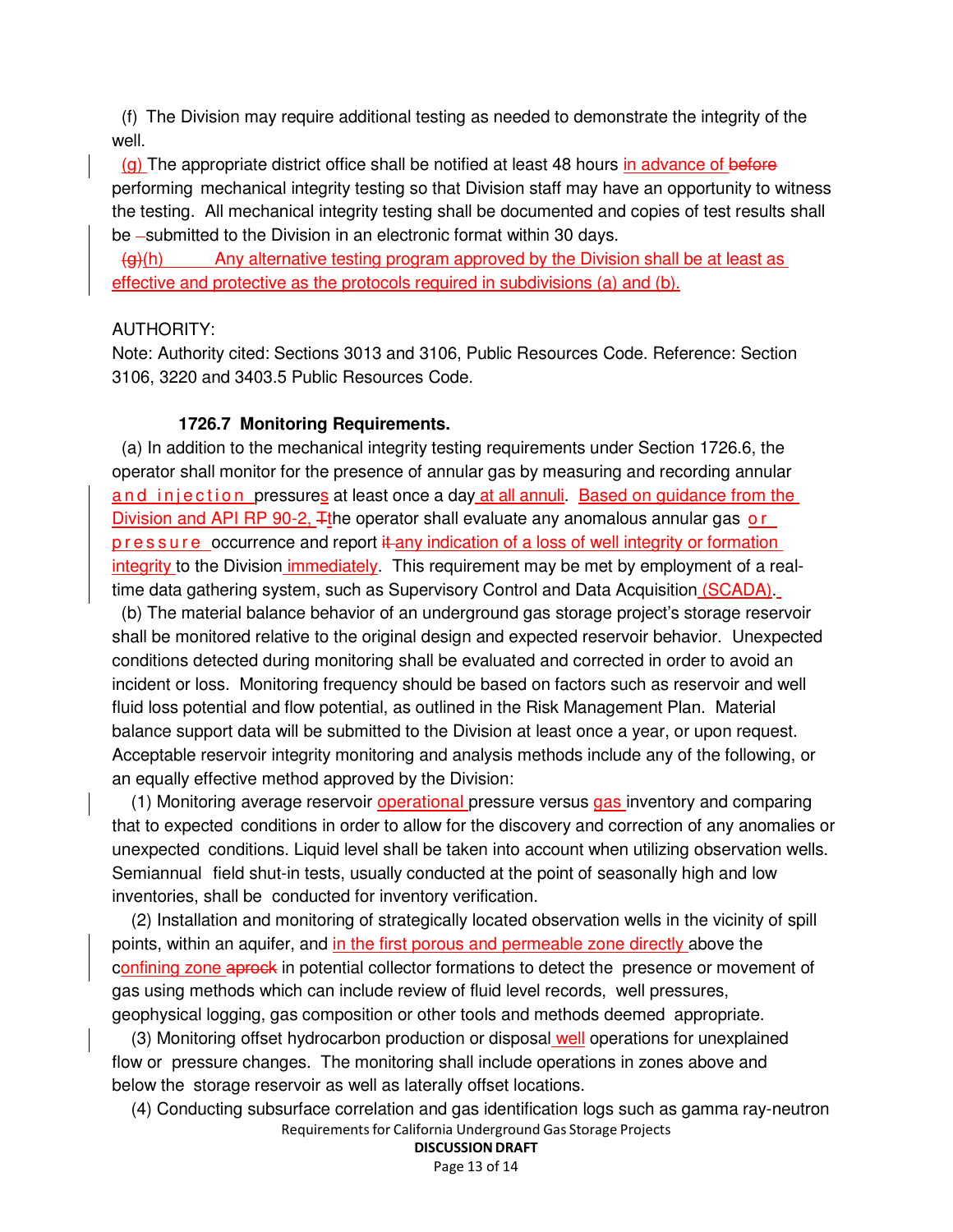(f) The Division may require additional testing as needed to demonstrate the integrity of the well.

(g) The appropriate district office shall be notified at least 48 hours in advance of before performing mechanical integrity testing so that Division staff may have an opportunity to witness the testing. All mechanical integrity testing shall be documented and copies of test results shall be -submitted to the Division in an electronic format within 30 days.

 $\left\langle \Theta_{\theta}\right\rangle$ (h) Any alternative testing program approved by the Division shall be at least as effective and protective as the protocols required in subdivisions (a) and (b).

#### AUTHORITY:

Note: Authority cited: Sections 3013 and 3106, Public Resources Code. Reference: Section 3106, 3220 and 3403.5 Public Resources Code.

#### **1726.7 Monitoring Requirements.**

(a) In addition to the mechanical integrity testing requirements under Section 1726.6, the operator shall monitor for the presence of annular gas by measuring and recording annular and injection pressures at least once a day at all annuli. Based on guidance from the Division and API RP 90-2,  $\pm$ the operator shall evaluate any anomalous annular gas o r  $p$  r e s s u r e occurrence and report  $\frac{1}{k}$  any indication of a loss of well integrity or formation integrity to the Division immediately. This requirement may be met by employment of a realtime data gathering system, such as Supervisory Control and Data Acquisition (SCADA).

(b) The material balance behavior of an underground gas storage project's storage reservoir shall be monitored relative to the original design and expected reservoir behavior. Unexpected conditions detected during monitoring shall be evaluated and corrected in order to avoid an incident or loss. Monitoring frequency should be based on factors such as reservoir and well fluid loss potential and flow potential, as outlined in the Risk Management Plan. Material balance support data will be submitted to the Division at least once a year, or upon request. Acceptable reservoir integrity monitoring and analysis methods include any of the following, or an equally effective method approved by the Division:

(1) Monitoring average reservoir operational pressure versus gas inventory and comparing that to expected conditions in order to allow for the discovery and correction of any anomalies or unexpected conditions. Liquid level shall be taken into account when utilizing observation wells. Semiannual field shut-in tests, usually conducted at the point of seasonally high and low inventories, shall be conducted for inventory verification.

(2) Installation and monitoring of strategically located observation wells in the vicinity of spill points, within an aquifer, and in the first porous and permeable zone directly above the confining zone aprock in potential collector formations to detect the presence or movement of gas using methods which can include review of fluid level records, well pressures, geophysical logging, gas composition or other tools and methods deemed appropriate.

(3) Monitoring offset hydrocarbon production or disposal well operations for unexplained flow or pressure changes. The monitoring shall include operations in zones above and below the storage reservoir as well as laterally offset locations.

Requirementsfor California Underground Gas Storage Projects (4) Conducting subsurface correlation and gas identification logs such as gamma ray-neutron

#### DISCUSSION DRAFT Page 13 of 14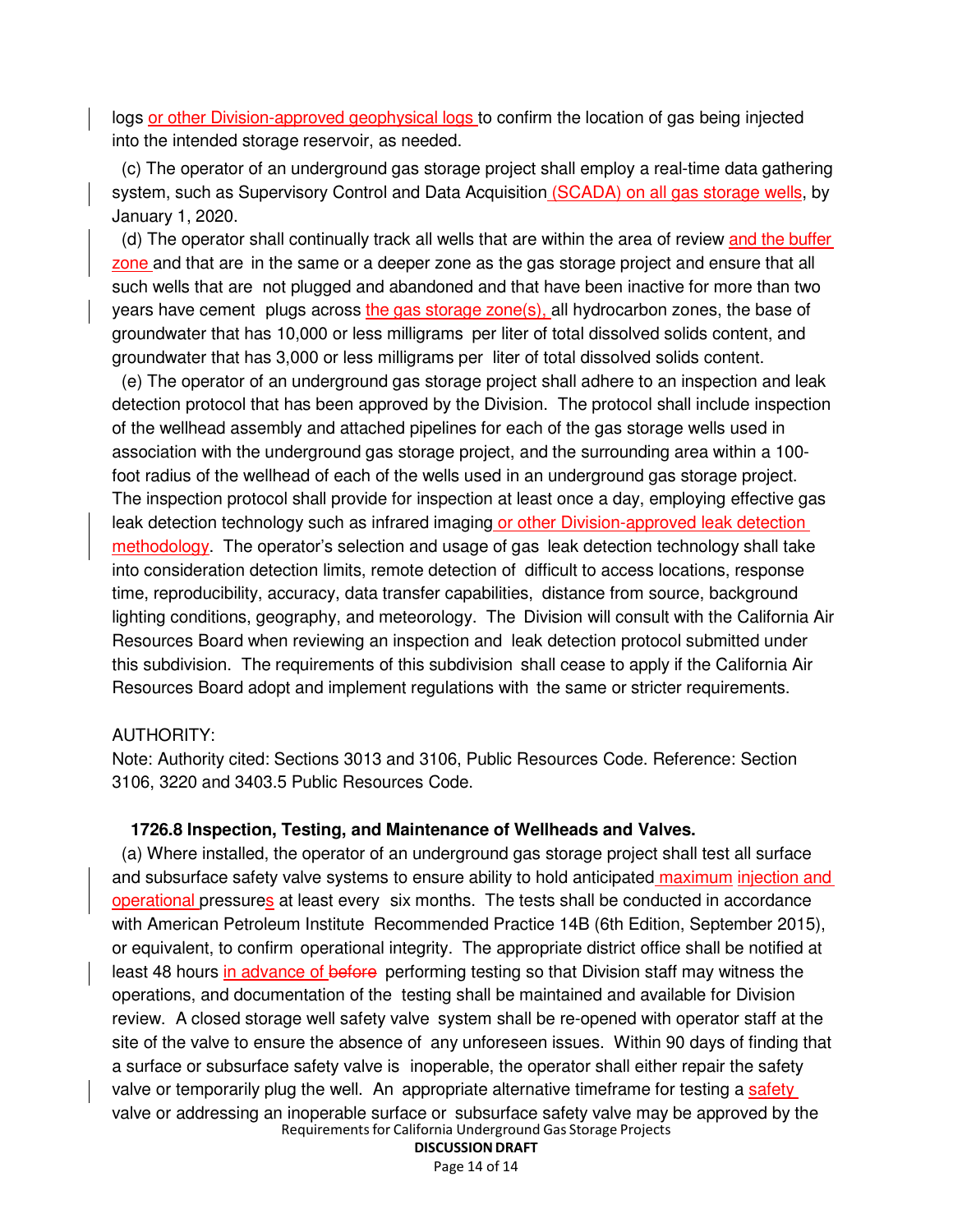logs or other Division-approved geophysical logs to confirm the location of gas being injected into the intended storage reservoir, as needed.

(c) The operator of an underground gas storage project shall employ a real-time data gathering system, such as Supervisory Control and Data Acquisition (SCADA) on all gas storage wells, by January 1, 2020.

(d) The operator shall continually track all wells that are within the area of review and the buffer zone and that are in the same or a deeper zone as the gas storage project and ensure that all such wells that are not plugged and abandoned and that have been inactive for more than two years have cement plugs across the gas storage zone(s), all hydrocarbon zones, the base of groundwater that has 10,000 or less milligrams per liter of total dissolved solids content, and groundwater that has 3,000 or less milligrams per liter of total dissolved solids content.

(e) The operator of an underground gas storage project shall adhere to an inspection and leak detection protocol that has been approved by the Division. The protocol shall include inspection of the wellhead assembly and attached pipelines for each of the gas storage wells used in association with the underground gas storage project, and the surrounding area within a 100 foot radius of the wellhead of each of the wells used in an underground gas storage project. The inspection protocol shall provide for inspection at least once a day, employing effective gas leak detection technology such as infrared imaging or other Division-approved leak detection methodology. The operator's selection and usage of gas leak detection technology shall take into consideration detection limits, remote detection of difficult to access locations, response time, reproducibility, accuracy, data transfer capabilities, distance from source, background lighting conditions, geography, and meteorology. The Division will consult with the California Air Resources Board when reviewing an inspection and leak detection protocol submitted under this subdivision. The requirements of this subdivision shall cease to apply if the California Air Resources Board adopt and implement regulations with the same or stricter requirements.

#### AUTHORITY:

Note: Authority cited: Sections 3013 and 3106, Public Resources Code. Reference: Section 3106, 3220 and 3403.5 Public Resources Code.

#### **1726.8 Inspection, Testing, and Maintenance of Wellheads and Valves.**

Requirementsfor California Underground Gas Storage Projects (a) Where installed, the operator of an underground gas storage project shall test all surface and subsurface safety valve systems to ensure ability to hold anticipated maximum injection and operational pressures at least every six months. The tests shall be conducted in accordance with American Petroleum Institute Recommended Practice 14B (6th Edition, September 2015), or equivalent, to confirm operational integrity. The appropriate district office shall be notified at least 48 hours in advance of before performing testing so that Division staff may witness the operations, and documentation of the testing shall be maintained and available for Division review. A closed storage well safety valve system shall be re-opened with operator staff at the site of the valve to ensure the absence of any unforeseen issues. Within 90 days of finding that a surface or subsurface safety valve is inoperable, the operator shall either repair the safety valve or temporarily plug the well. An appropriate alternative timeframe for testing a safety valve or addressing an inoperable surface or subsurface safety valve may be approved by the

> DISCUSSION DRAFT Page 14 of 14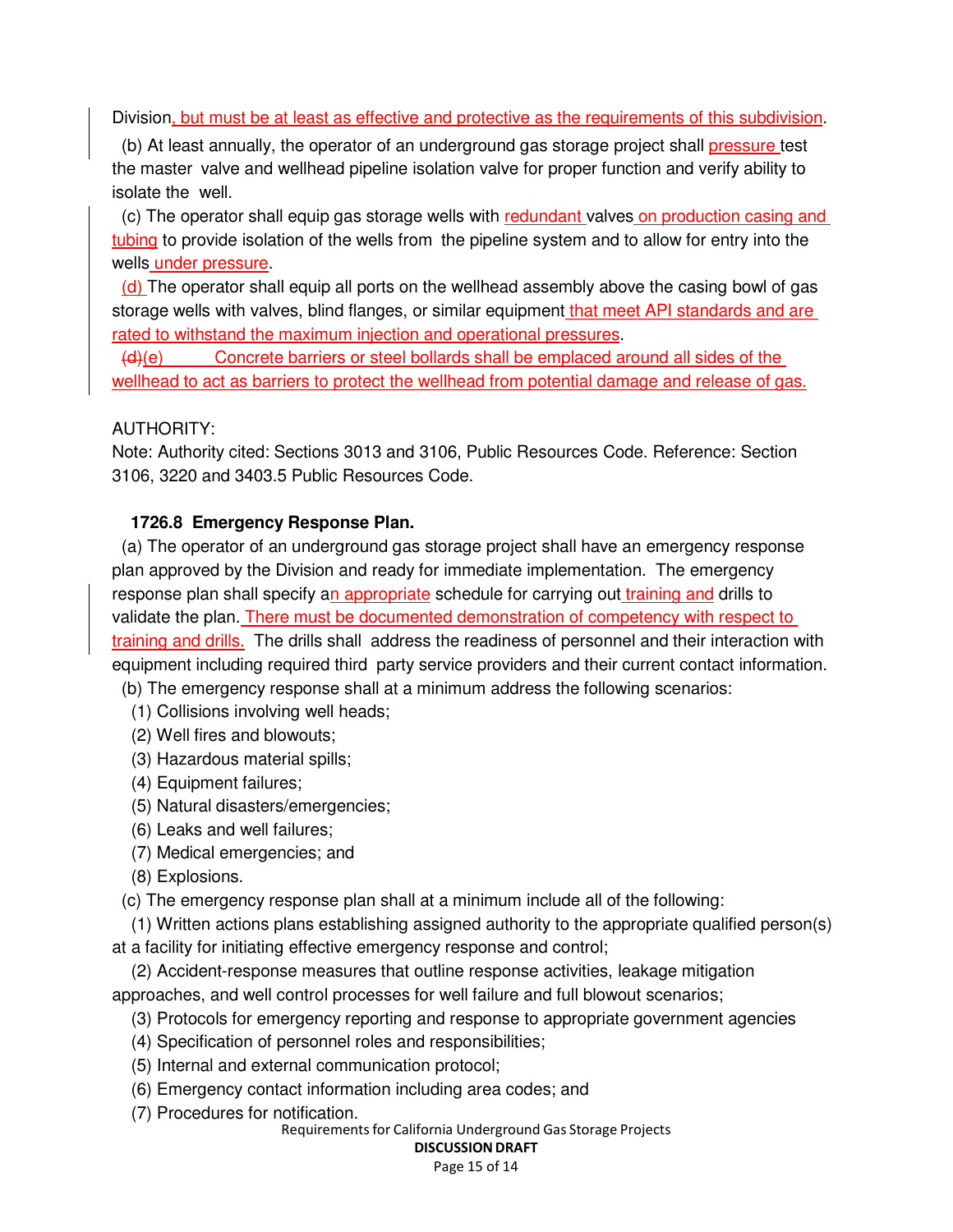Division, but must be at least as effective and protective as the requirements of this subdivision.

(b) At least annually, the operator of an underground gas storage project shall pressure test the master valve and wellhead pipeline isolation valve for proper function and verify ability to isolate the well.

(c) The operator shall equip gas storage wells with redundant valves on production casing and tubing to provide isolation of the wells from the pipeline system and to allow for entry into the wells under pressure.

(d) The operator shall equip all ports on the wellhead assembly above the casing bowl of gas storage wells with valves, blind flanges, or similar equipment that meet API standards and are rated to withstand the maximum injection and operational pressures.

 $(d)(e)$  Concrete barriers or steel bollards shall be emplaced around all sides of the wellhead to act as barriers to protect the wellhead from potential damage and release of gas.

### AUTHORITY:

Note: Authority cited: Sections 3013 and 3106, Public Resources Code. Reference: Section 3106, 3220 and 3403.5 Public Resources Code.

### **1726.8 Emergency Response Plan.**

(a) The operator of an underground gas storage project shall have an emergency response plan approved by the Division and ready for immediate implementation. The emergency response plan shall specify an appropriate schedule for carrying out training and drills to validate the plan. There must be documented demonstration of competency with respect to training and drills. The drills shall address the readiness of personnel and their interaction with equipment including required third party service providers and their current contact information.

(b) The emergency response shall at a minimum address the following scenarios:

- (1) Collisions involving well heads;
- (2) Well fires and blowouts;
- (3) Hazardous material spills;
- (4) Equipment failures;
- (5) Natural disasters/emergencies;
- (6) Leaks and well failures;
- (7) Medical emergencies; and
- (8) Explosions.

(c) The emergency response plan shall at a minimum include all of the following:

(1) Written actions plans establishing assigned authority to the appropriate qualified person(s)

at a facility for initiating effective emergency response and control;

(2) Accident-response measures that outline response activities, leakage mitigation approaches, and well control processes for well failure and full blowout scenarios;

- (3) Protocols for emergency reporting and response to appropriate government agencies
- (4) Specification of personnel roles and responsibilities;
- (5) Internal and external communication protocol;
- (6) Emergency contact information including area codes; and
- (7) Procedures for notification.

Requirementsfor California Underground Gas Storage Projects

#### DISCUSSION DRAFT Page 15 of 14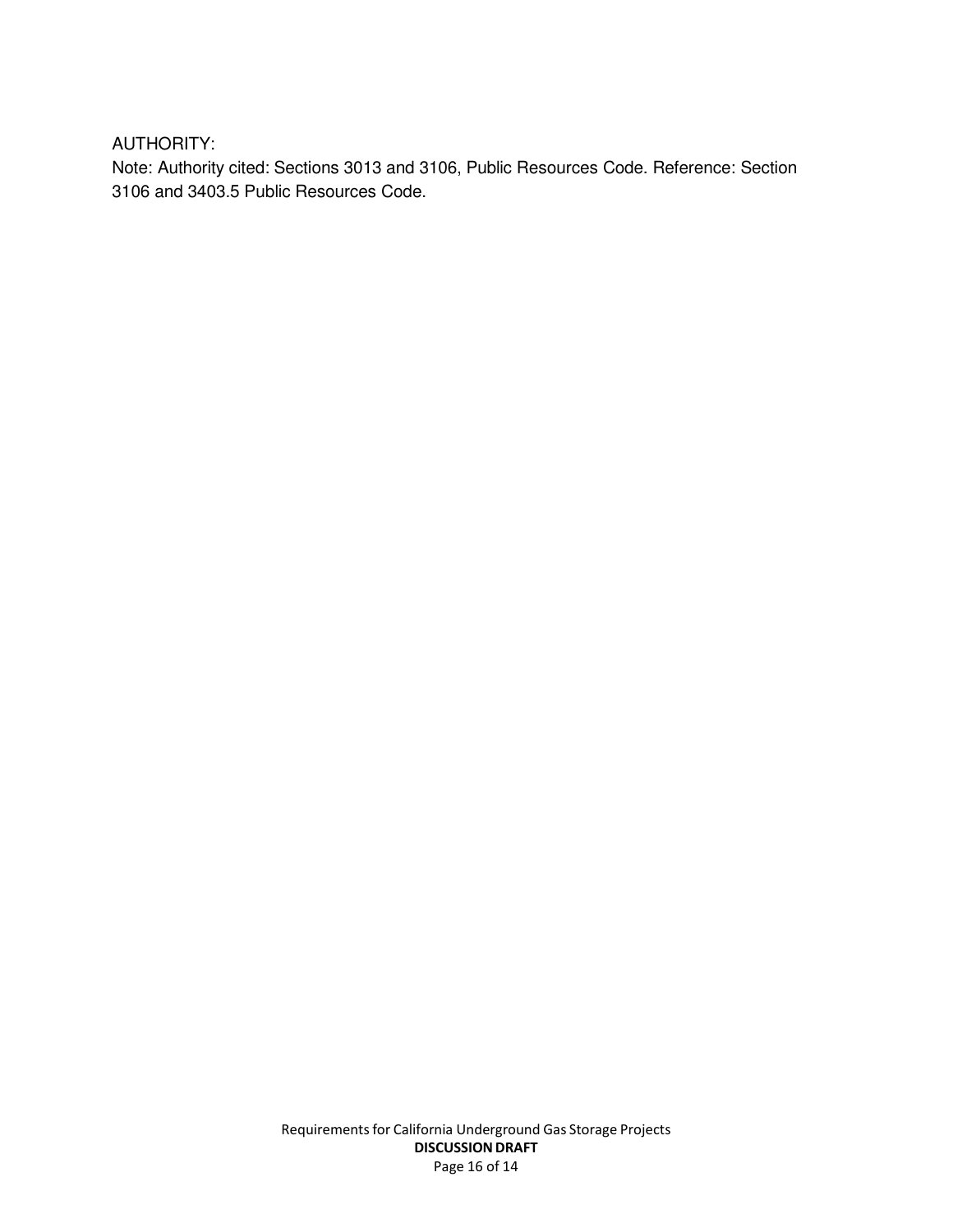AUTHORITY:

Note: Authority cited: Sections 3013 and 3106, Public Resources Code. Reference: Section 3106 and 3403.5 Public Resources Code.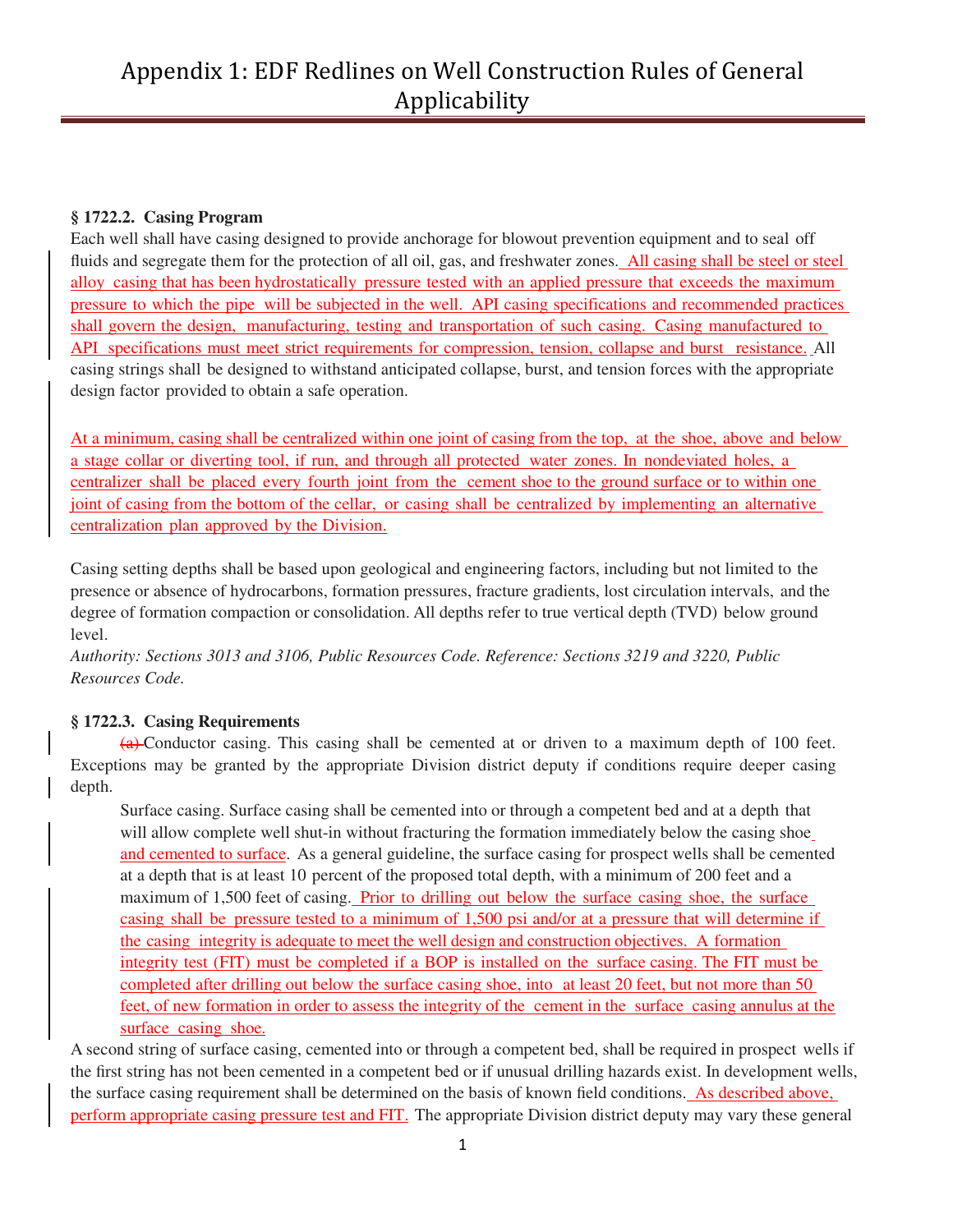# Appendix 1: EDF Redlines on Well Construction Rules of General Applicability

#### **§ 1722.2. Casing Program**

Each well shall have casing designed to provide anchorage for blowout prevention equipment and to seal off fluids and segregate them for the protection of all oil, gas, and freshwater zones. All casing shall be steel or steel alloy casing that has been hydrostatically pressure tested with an applied pressure that exceeds the maximum pressure to which the pipe will be subjected in the well. API casing specifications and recommended practices shall govern the design, manufacturing, testing and transportation of such casing. Casing manufactured to API specifications must meet strict requirements for compression, tension, collapse and burst resistance. All casing strings shall be designed to withstand anticipated collapse, burst, and tension forces with the appropriate design factor provided to obtain a safe operation.

At a minimum, casing shall be centralized within one joint of casing from the top, at the shoe, above and below a stage collar or diverting tool, if run, and through all protected water zones. In nondeviated holes, a centralizer shall be placed every fourth joint from the cement shoe to the ground surface or to within one joint of casing from the bottom of the cellar, or casing shall be centralized by implementing an alternative centralization plan approved by the Division.

Casing setting depths shall be based upon geological and engineering factors, including but not limited to the presence or absence of hydrocarbons, formation pressures, fracture gradients, lost circulation intervals, and the degree of formation compaction or consolidation. All depths refer to true vertical depth (TVD) below ground level.

*Authority: Sections 3013 and 3106, Public Resources Code. Reference: Sections 3219 and 3220, Public Resources Code.*

#### **§ 1722.3. Casing Requirements**

(a) Conductor casing. This casing shall be cemented at or driven to a maximum depth of 100 feet. Exceptions may be granted by the appropriate Division district deputy if conditions require deeper casing depth.

Surface casing. Surface casing shall be cemented into or through a competent bed and at a depth that will allow complete well shut-in without fracturing the formation immediately below the casing shoe and cemented to surface. As a general guideline, the surface casing for prospect wells shall be cemented at a depth that is at least 10 percent of the proposed total depth, with a minimum of 200 feet and a maximum of 1,500 feet of casing. Prior to drilling out below the surface casing shoe, the surface casing shall be pressure tested to a minimum of 1,500 psi and/or at a pressure that will determine if the casing integrity is adequate to meet the well design and construction objectives. A formation integrity test (FIT) must be completed if a BOP is installed on the surface casing. The FIT must be completed after drilling out below the surface casing shoe, into at least 20 feet, but not more than 50 feet, of new formation in order to assess the integrity of the cement in the surface casing annulus at the surface casing shoe.

A second string of surface casing, cemented into or through a competent bed, shall be required in prospect wells if the first string has not been cemented in a competent bed or if unusual drilling hazards exist. In development wells, the surface casing requirement shall be determined on the basis of known field conditions. As described above, perform appropriate casing pressure test and FIT. The appropriate Division district deputy may vary these general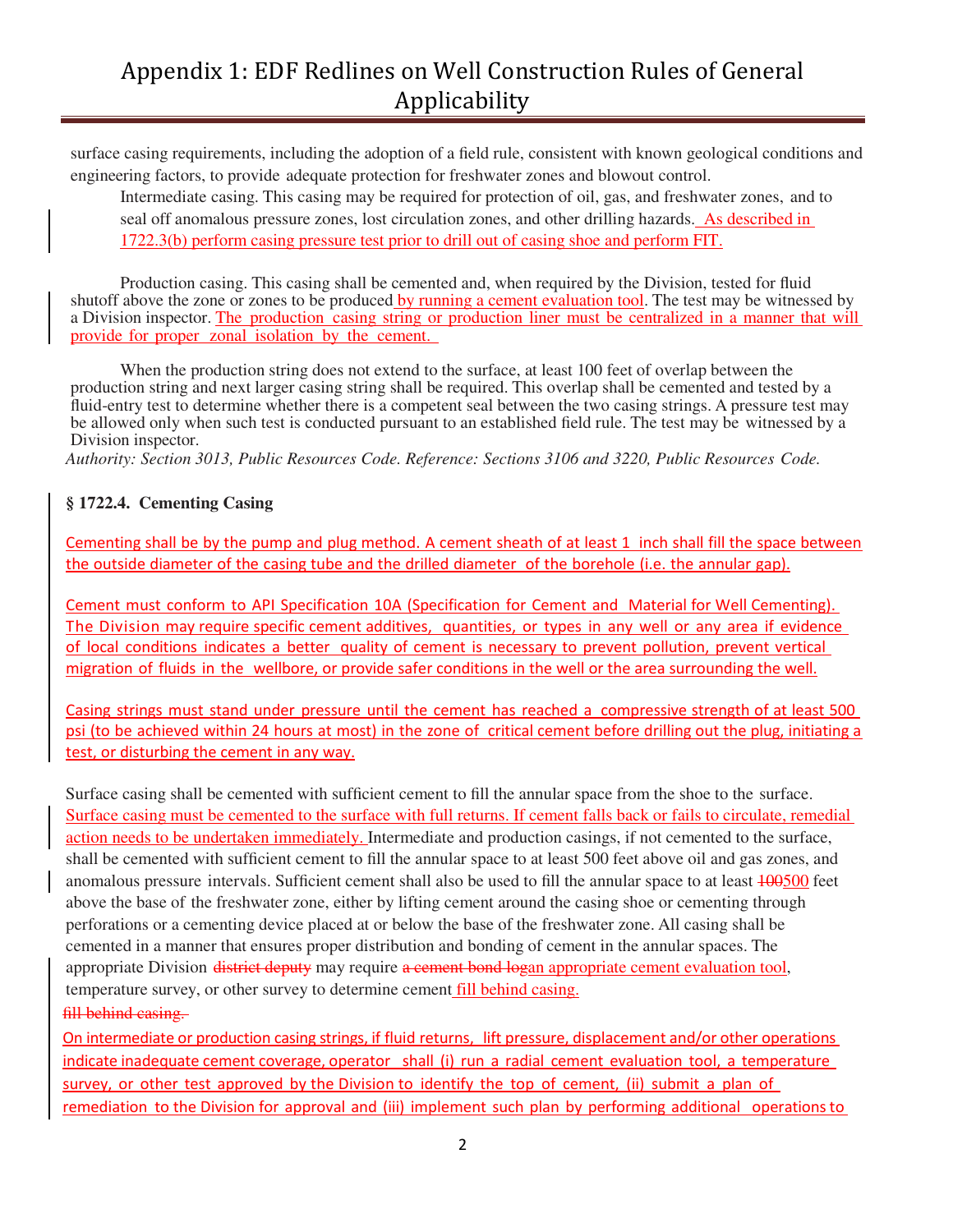## Appendix 1: EDF Redlines on Well Construction Rules of General Applicability

surface casing requirements, including the adoption of a field rule, consistent with known geological conditions and engineering factors, to provide adequate protection for freshwater zones and blowout control.

Intermediate casing. This casing may be required for protection of oil, gas, and freshwater zones, and to seal off anomalous pressure zones, lost circulation zones, and other drilling hazards. As described in 1722.3(b) perform casing pressure test prior to drill out of casing shoe and perform FIT.

Production casing. This casing shall be cemented and, when required by the Division, tested for fluid shutoff above the zone or zones to be produced by running a cement evaluation tool. The test may be witnessed by a Division inspector. The production casing string or production liner must be centralized in a manner that will provide for proper zonal isolation by the cement.

When the production string does not extend to the surface, at least 100 feet of overlap between the production string and next larger casing string shall be required. This overlap shall be cemented and tested by a fluid-entry test to determine whether there is a competent seal between the two casing strings. A pressure test may be allowed only when such test is conducted pursuant to an established field rule. The test may be witnessed by a Division inspector.

*Authority: Section 3013, Public Resources Code. Reference: Sections 3106 and 3220, Public Resources Code.*

#### **§ 1722.4. Cementing Casing**

Cementing shall be by the pump and plug method. A cement sheath of at least 1 inch shall fill the space between the outside diameter of the casing tube and the drilled diameter of the borehole (i.e. the annular gap).

Cement must conform to API Specification 10A (Specification for Cement and Material for Well Cementing). The Division may require specific cement additives, quantities, or types in any well or any area if evidence of local conditions indicates a better quality of cement is necessary to prevent pollution, prevent vertical migration of fluids in the wellbore, or provide safer conditions in the well or the area surrounding the well.

Casing strings must stand under pressure until the cement has reached a compressive strength of at least 500 psi (to be achieved within 24 hours at most) in the zone of critical cement before drilling out the plug, initiating a test, or disturbing the cement in any way.

Surface casing shall be cemented with sufficient cement to fill the annular space from the shoe to the surface. Surface casing must be cemented to the surface with full returns. If cement falls back or fails to circulate, remedial action needs to be undertaken immediately. Intermediate and production casings, if not cemented to the surface, shall be cemented with sufficient cement to fill the annular space to at least 500 feet above oil and gas zones, and anomalous pressure intervals. Sufficient cement shall also be used to fill the annular space to at least 100500 feet above the base of the freshwater zone, either by lifting cement around the casing shoe or cementing through perforations or a cementing device placed at or below the base of the freshwater zone. All casing shall be cemented in a manner that ensures proper distribution and bonding of cement in the annular spaces. The appropriate Division district deputy may require a cement bond logan appropriate cement evaluation tool, temperature survey, or other survey to determine cement fill behind casing. fill behind casing.

On intermediate or production casing strings, if fluid returns, lift pressure, displacement and/or other operations indicate inadequate cement coverage, operator shall (i) run a radial cement evaluation tool, a temperature survey, or other test approved by the Division to identify the top of cement, (ii) submit a plan of remediation to the Division for approval and (iii) implement such plan by performing additional operations to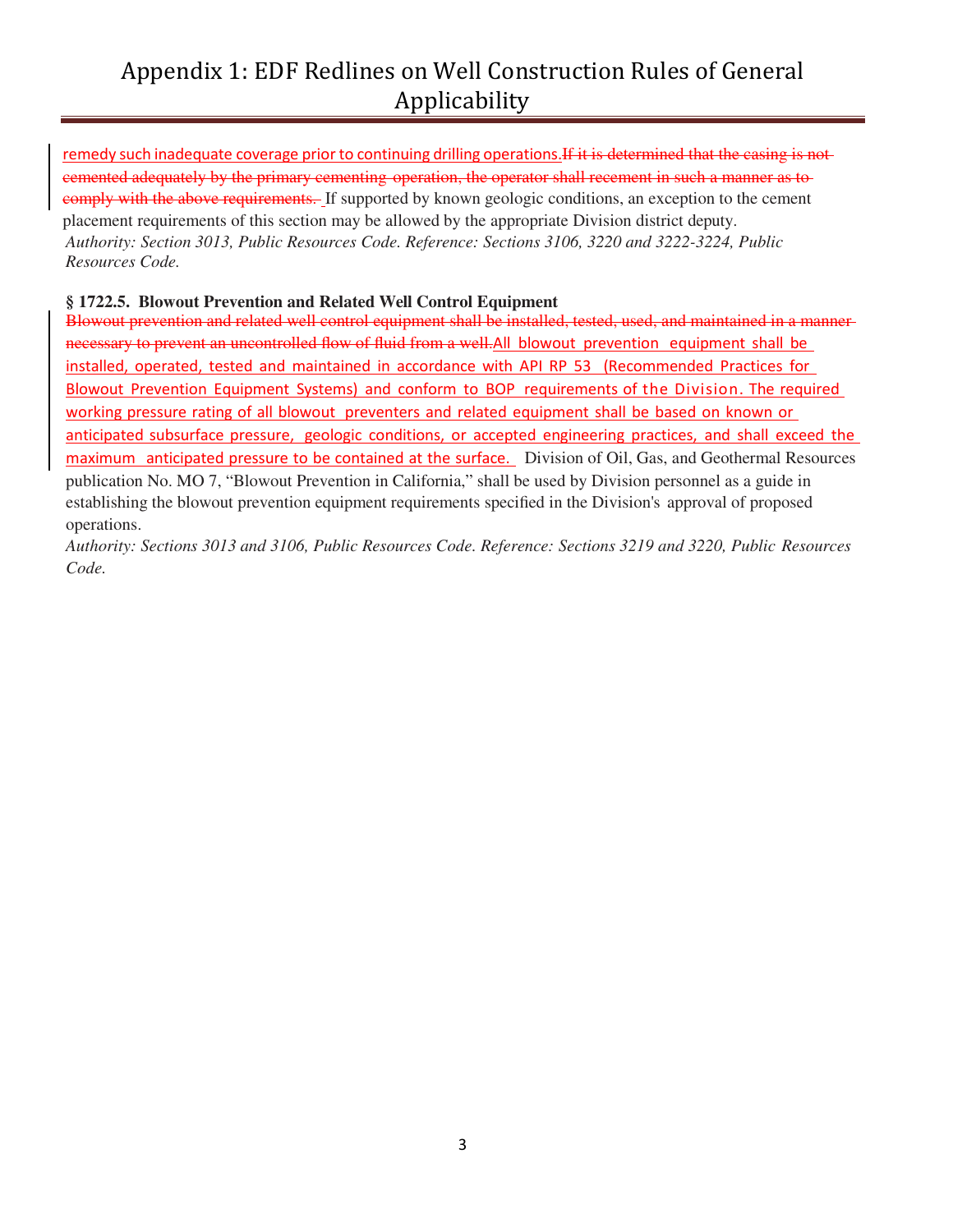# Appendix 1: EDF Redlines on Well Construction Rules of General Applicability

remedy such inadequate coverage prior to continuing drilling operations. If it is determined that the casing is notcemented adequately by the primary cementing operation, the operator shall recement in such a manner as to comply with the above requirements. If supported by known geologic conditions, an exception to the cement placement requirements of this section may be allowed by the appropriate Division district deputy. *Authority: Section 3013, Public Resources Code. Reference: Sections 3106, 3220 and 3222-3224, Public Resources Code.*

#### **§ 1722.5. Blowout Prevention and Related Well Control Equipment**

Blowout prevention and related well control equipment shall be installed, tested, used, and maintained in a manner necessary to prevent an uncontrolled flow of fluid from a well.All blowout prevention equipment shall be installed, operated, tested and maintained in accordance with API RP 53 (Recommended Practices for Blowout Prevention Equipment Systems) and conform to BOP requirements of the Division. The required working pressure rating of all blowout preventers and related equipment shall be based on known or anticipated subsurface pressure, geologic conditions, or accepted engineering practices, and shall exceed the maximum anticipated pressure to be contained at the surface. Division of Oil, Gas, and Geothermal Resources publication No. MO 7, "Blowout Prevention in California," shall be used by Division personnel as a guide in establishing the blowout prevention equipment requirements specified in the Division's approval of proposed operations.

*Authority: Sections 3013 and 3106, Public Resources Code. Reference: Sections 3219 and 3220, Public Resources Code.*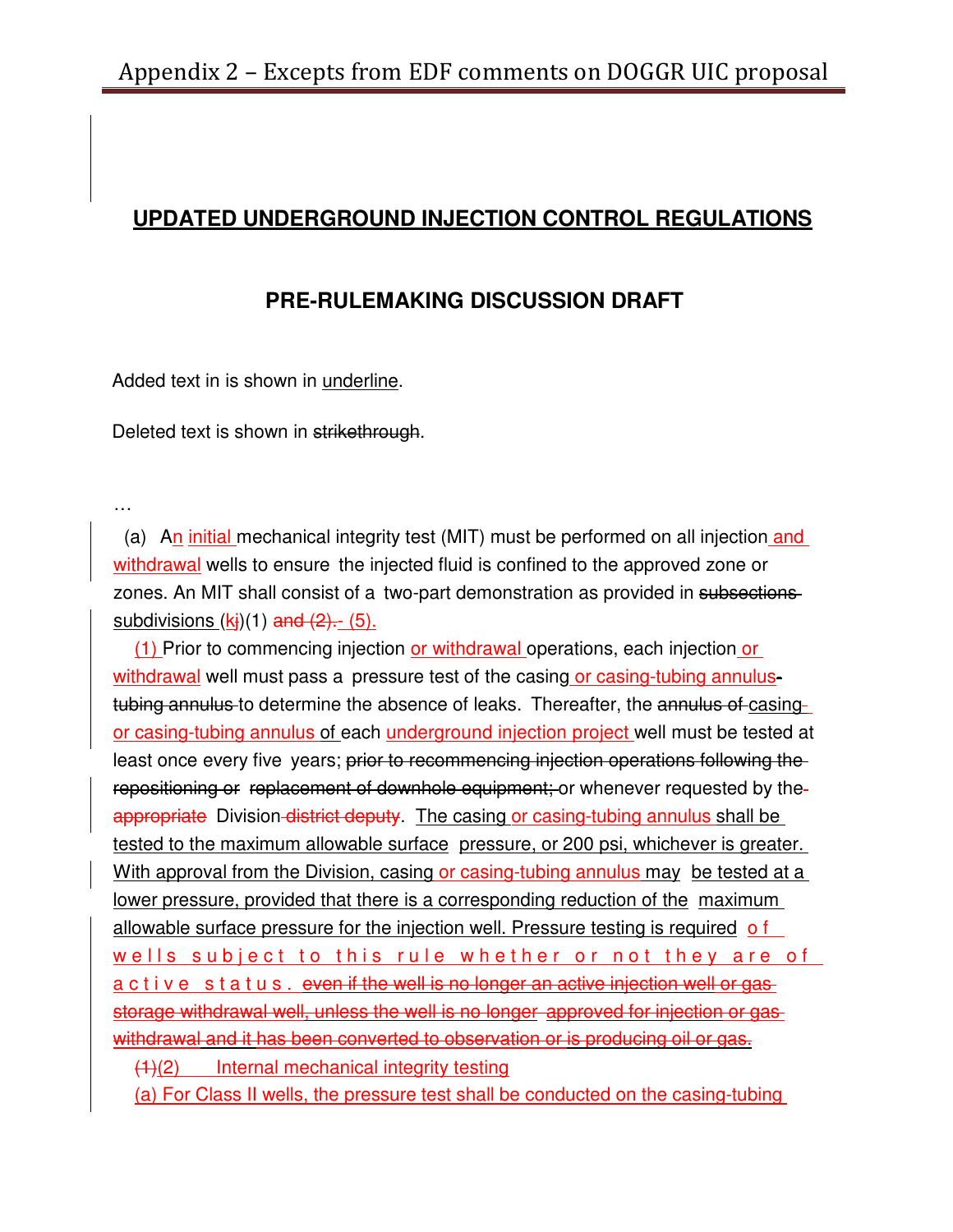## **UPDATED UNDERGROUND INJECTION CONTROL REGULATIONS**

## **PRE-RULEMAKING DISCUSSION DRAFT**

Added text in is shown in underline.

Deleted text is shown in strikethrough.

…

(a) An initial mechanical integrity test (MIT) must be performed on all injection and withdrawal wells to ensure the injected fluid is confined to the approved zone or zones. An MIT shall consist of a two-part demonstration as provided in subsections subdivisions  $(k<sub>i</sub>)(1)$  and  $(2)$ . (5).

(1) Prior to commencing injection or withdrawal operations, each injection or withdrawal well must pass a pressure test of the casing or casing-tubing annulustubing annulus to determine the absence of leaks. Thereafter, the annulus of casingor casing-tubing annulus of each underground injection project well must be tested at least once every five years; prior to recommencing injection operations following the repositioning or replacement of downhole equipment; or whenever requested by the appropriate Division-district deputy. The casing or casing-tubing annulus shall be tested to the maximum allowable surface pressure, or 200 psi, whichever is greater. With approval from the Division, casing or casing-tubing annulus may be tested at a lower pressure, provided that there is a corresponding reduction of the maximum allowable surface pressure for the injection well. Pressure testing is required of wells subject to this rule whether or not they are of a c t i v e s t a t u s . even if the well is no longer an active injection well or gas storage withdrawal well, unless the well is no longer approved for injection or gas withdrawal and it has been converted to observation or is producing oil or gas.

(1)(2) Internal mechanical integrity testing

(a) For Class II wells, the pressure test shall be conducted on the casing-tubing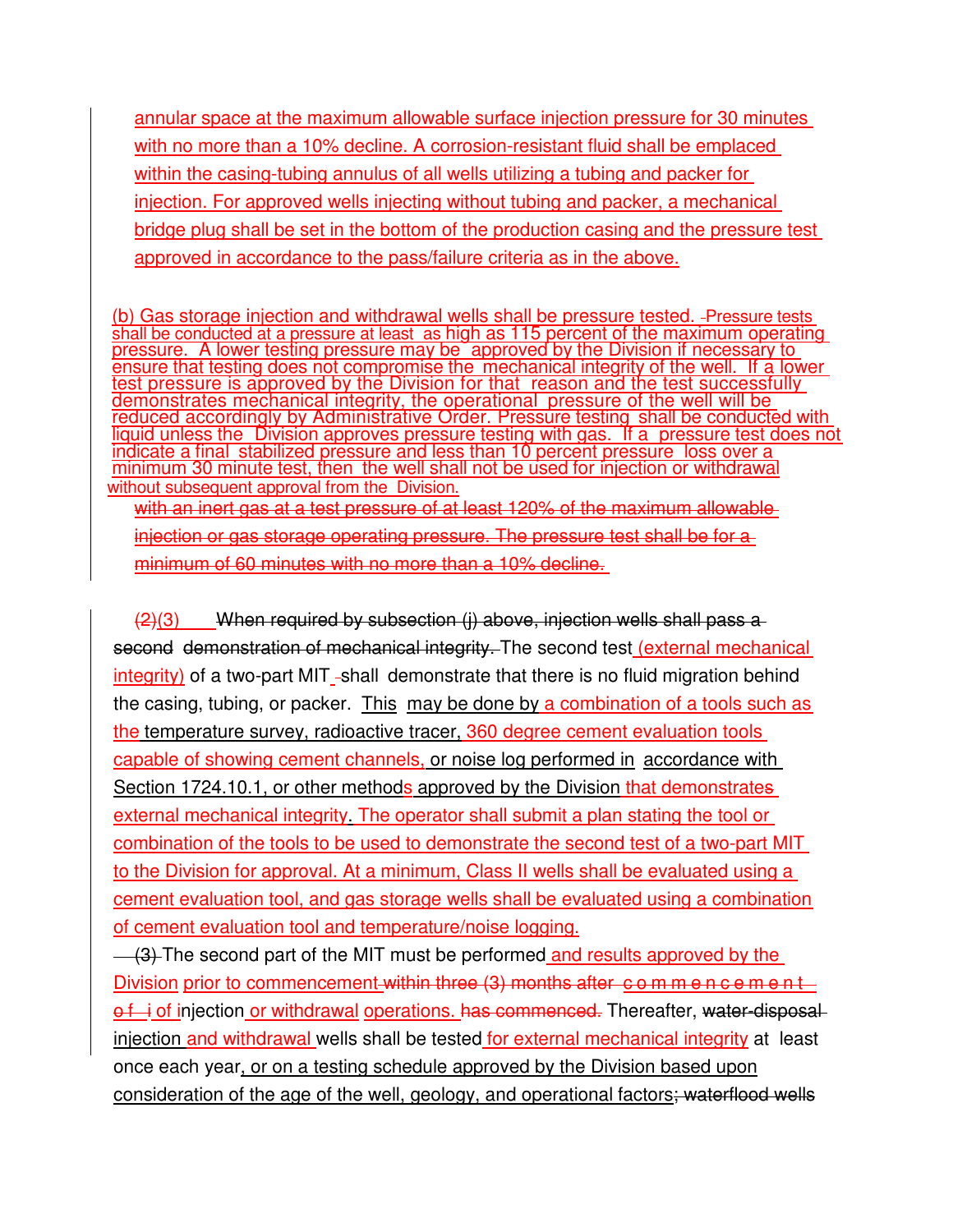annular space at the maximum allowable surface injection pressure for 30 minutes with no more than a 10% decline. A corrosion-resistant fluid shall be emplaced within the casing-tubing annulus of all wells utilizing a tubing and packer for injection. For approved wells injecting without tubing and packer, a mechanical bridge plug shall be set in the bottom of the production casing and the pressure test approved in accordance to the pass/failure criteria as in the above.

(b) Gas storage injection and withdrawal wells shall be pressure tested. -Pressure tests shall be conducted at a pressure at least as high as 115 percent of the maximum operating pressure. A lower testing pressure may be approved by the Division if necessary to ensure that testing does not compromise the mechanical integrity of the well. If a lower test pressure is approved by the Division for that reason and the test successfully demonstrates mechanical integrity, the operational pressure of the well will be reduced accordingly by Administrative Order. Pressure testing shall be conducted with liquid unless the Division approves pressure testing with gas. If a pressure test does not indicate a final stabilized pressure and less than 10 percent pressure loss over a minimum 30 minute test, then the well shall not be used for injection or withdrawal without subsequent approval from the Division.

with an inert gas at a test pressure of at least 120% of the maximum allowable injection or gas storage operating pressure. The pressure test shall be for a minimum of 60 minutes with no more than a 10% decline.

 $(2)(3)$  When required by subsection (i) above, injection wells shall pass a second demonstration of mechanical integrity. The second test (external mechanical  $integrity)$  of a two-part MIT -shall demonstrate that there is no fluid migration behind the casing, tubing, or packer. This may be done by a combination of a tools such as the temperature survey, radioactive tracer, 360 degree cement evaluation tools capable of showing cement channels, or noise log performed in accordance with Section 1724.10.1, or other methods approved by the Division that demonstrates external mechanical integrity. The operator shall submit a plan stating the tool or combination of the tools to be used to demonstrate the second test of a two-part MIT to the Division for approval. At a minimum, Class II wells shall be evaluated using a cement evaluation tool, and gas storage wells shall be evaluated using a combination of cement evaluation tool and temperature/noise logging.

(3) The second part of the MIT must be performed and results approved by the Division prior to commencement within three (3) months after commencement of i of injection or withdrawal operations. has commenced. Thereafter, water-disposalinjection and withdrawal wells shall be tested for external mechanical integrity at least once each year, or on a testing schedule approved by the Division based upon consideration of the age of the well, geology, and operational factors; waterflood wells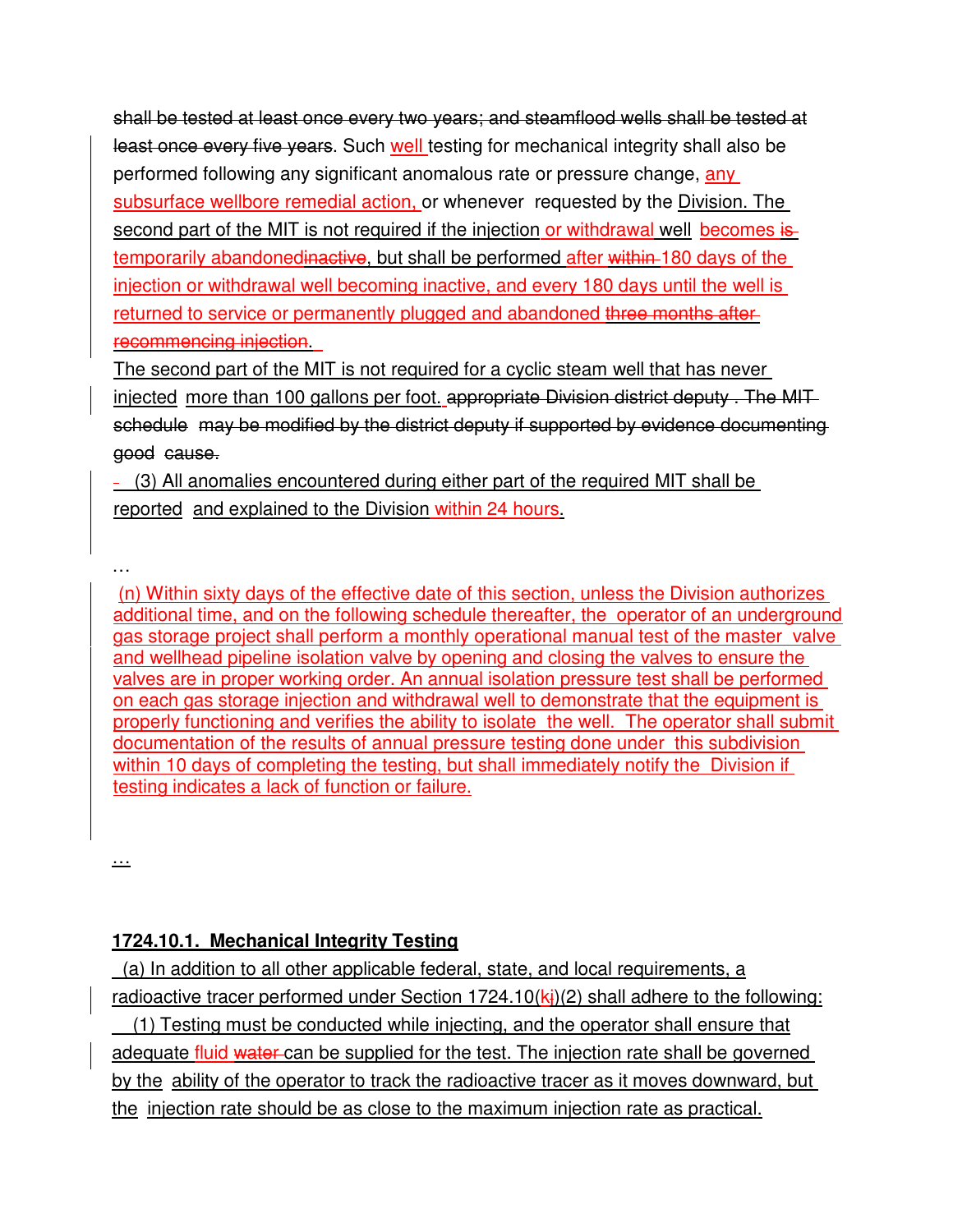shall be tested at least once every two years; and steamflood wells shall be tested at least once every five years. Such well testing for mechanical integrity shall also be performed following any significant anomalous rate or pressure change, any subsurface wellbore remedial action, or whenever requested by the Division. The second part of the MIT is not required if the injection or withdrawal well becomes is temporarily abandonedinactive, but shall be performed after within 180 days of the injection or withdrawal well becoming inactive, and every 180 days until the well is returned to service or permanently plugged and abandoned three months afterrecommencing injection.

The second part of the MIT is not required for a cyclic steam well that has never injected more than 100 gallons per foot. appropriate Division district deputy . The MIT schedule may be modified by the district deputy if supported by evidence documenting good cause.

 (3) All anomalies encountered during either part of the required MIT shall be reported and explained to the Division within 24 hours.

 (n) Within sixty days of the effective date of this section, unless the Division authorizes additional time, and on the following schedule thereafter, the operator of an underground gas storage project shall perform a monthly operational manual test of the master valve and wellhead pipeline isolation valve by opening and closing the valves to ensure the valves are in proper working order. An annual isolation pressure test shall be performed on each gas storage injection and withdrawal well to demonstrate that the equipment is properly functioning and verifies the ability to isolate the well. The operator shall submit documentation of the results of annual pressure testing done under this subdivision within 10 days of completing the testing, but shall immediately notify the Division if testing indicates a lack of function or failure.

…

…

## **1724.10.1. Mechanical Integrity Testing**

 (a) In addition to all other applicable federal, state, and local requirements, a radioactive tracer performed under Section 1724.10( $\mathbf{k}$ )(2) shall adhere to the following: (1) Testing must be conducted while injecting, and the operator shall ensure that adequate fluid water can be supplied for the test. The injection rate shall be governed by the ability of the operator to track the radioactive tracer as it moves downward, but the injection rate should be as close to the maximum injection rate as practical.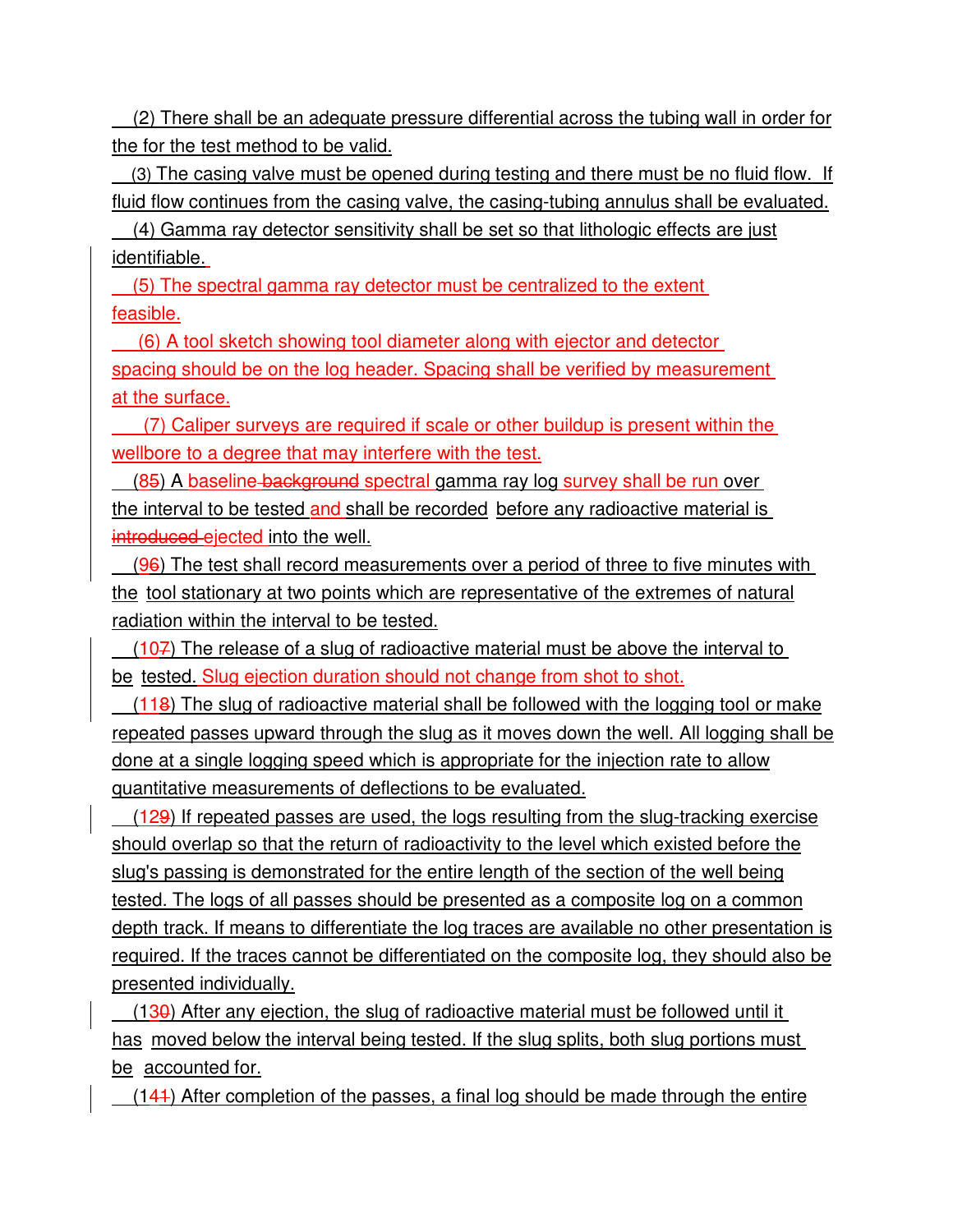(2) There shall be an adequate pressure differential across the tubing wall in order for the for the test method to be valid.

 (3) The casing valve must be opened during testing and there must be no fluid flow. If fluid flow continues from the casing valve, the casing-tubing annulus shall be evaluated.

 (4) Gamma ray detector sensitivity shall be set so that lithologic effects are just identifiable.

 (5) The spectral gamma ray detector must be centralized to the extent feasible.

 (6) A tool sketch showing tool diameter along with ejector and detector spacing should be on the log header. Spacing shall be verified by measurement at the surface.

 (7) Caliper surveys are required if scale or other buildup is present within the wellbore to a degree that may interfere with the test.

 (85) A baseline background spectral gamma ray log survey shall be run over the interval to be tested and shall be recorded before any radioactive material is introduced ejected into the well.

(96) The test shall record measurements over a period of three to five minutes with the tool stationary at two points which are representative of the extremes of natural radiation within the interval to be tested.

 $(107)$  The release of a slug of radioactive material must be above the interval to be tested. Slug ejection duration should not change from shot to shot.

 $(118)$  The slug of radioactive material shall be followed with the logging tool or make repeated passes upward through the slug as it moves down the well. All logging shall be done at a single logging speed which is appropriate for the injection rate to allow quantitative measurements of deflections to be evaluated.

 (129) If repeated passes are used, the logs resulting from the slug-tracking exercise should overlap so that the return of radioactivity to the level which existed before the slug's passing is demonstrated for the entire length of the section of the well being tested. The logs of all passes should be presented as a composite log on a common depth track. If means to differentiate the log traces are available no other presentation is required. If the traces cannot be differentiated on the composite log, they should also be presented individually.

 $(130)$  After any ejection, the slug of radioactive material must be followed until it has moved below the interval being tested. If the slug splits, both slug portions must be accounted for.

(141) After completion of the passes, a final log should be made through the entire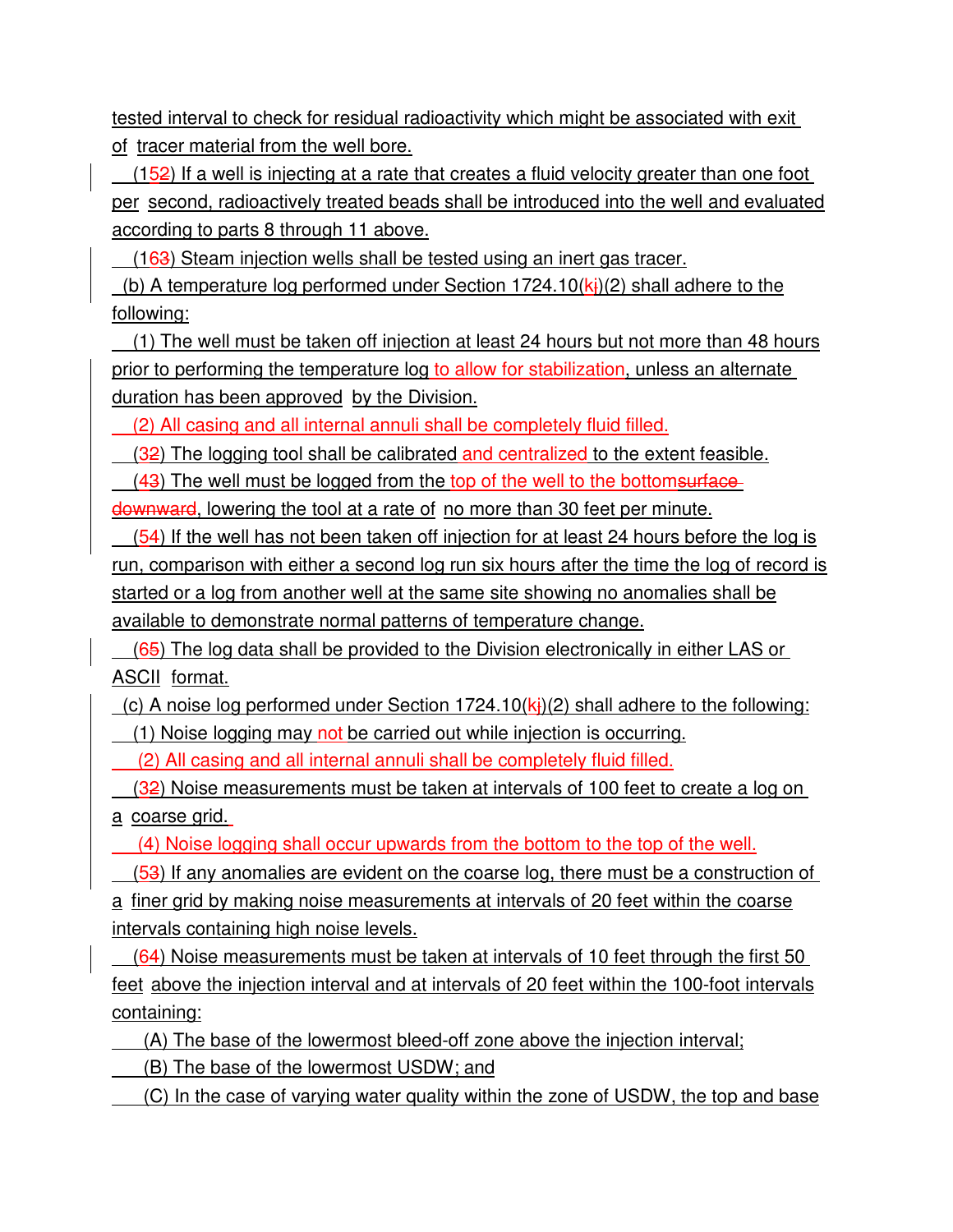tested interval to check for residual radioactivity which might be associated with exit of tracer material from the well bore.

 (152) If a well is injecting at a rate that creates a fluid velocity greater than one foot per second, radioactively treated beads shall be introduced into the well and evaluated according to parts 8 through 11 above.

(163) Steam injection wells shall be tested using an inert gas tracer.

(b) A temperature log performed under Section 1724.10( $k<sub>i</sub>$ )(2) shall adhere to the following:

 (1) The well must be taken off injection at least 24 hours but not more than 48 hours prior to performing the temperature log to allow for stabilization, unless an alternate duration has been approved by the Division.

(2) All casing and all internal annuli shall be completely fluid filled.

(32) The logging tool shall be calibrated and centralized to the extent feasible.

 $(43)$  The well must be logged from the top of the well to the bottoms unitabledownward, lowering the tool at a rate of no more than 30 feet per minute.

 (54) If the well has not been taken off injection for at least 24 hours before the log is run, comparison with either a second log run six hours after the time the log of record is started or a log from another well at the same site showing no anomalies shall be available to demonstrate normal patterns of temperature change.

(65) The log data shall be provided to the Division electronically in either LAS or ASCII format.

(c) A noise log performed under Section 1724.10( $k<sub>i</sub>$ )(2) shall adhere to the following: (1) Noise logging may not be carried out while injection is occurring.

(2) All casing and all internal annuli shall be completely fluid filled.

 $(32)$  Noise measurements must be taken at intervals of 100 feet to create a log on a coarse grid.

(4) Noise logging shall occur upwards from the bottom to the top of the well.

(53) If any anomalies are evident on the coarse log, there must be a construction of

a finer grid by making noise measurements at intervals of 20 feet within the coarse intervals containing high noise levels.

 (64) Noise measurements must be taken at intervals of 10 feet through the first 50 feet above the injection interval and at intervals of 20 feet within the 100-foot intervals containing:

(A) The base of the lowermost bleed-off zone above the injection interval;

(B) The base of the lowermost USDW; and

(C) In the case of varying water quality within the zone of USDW, the top and base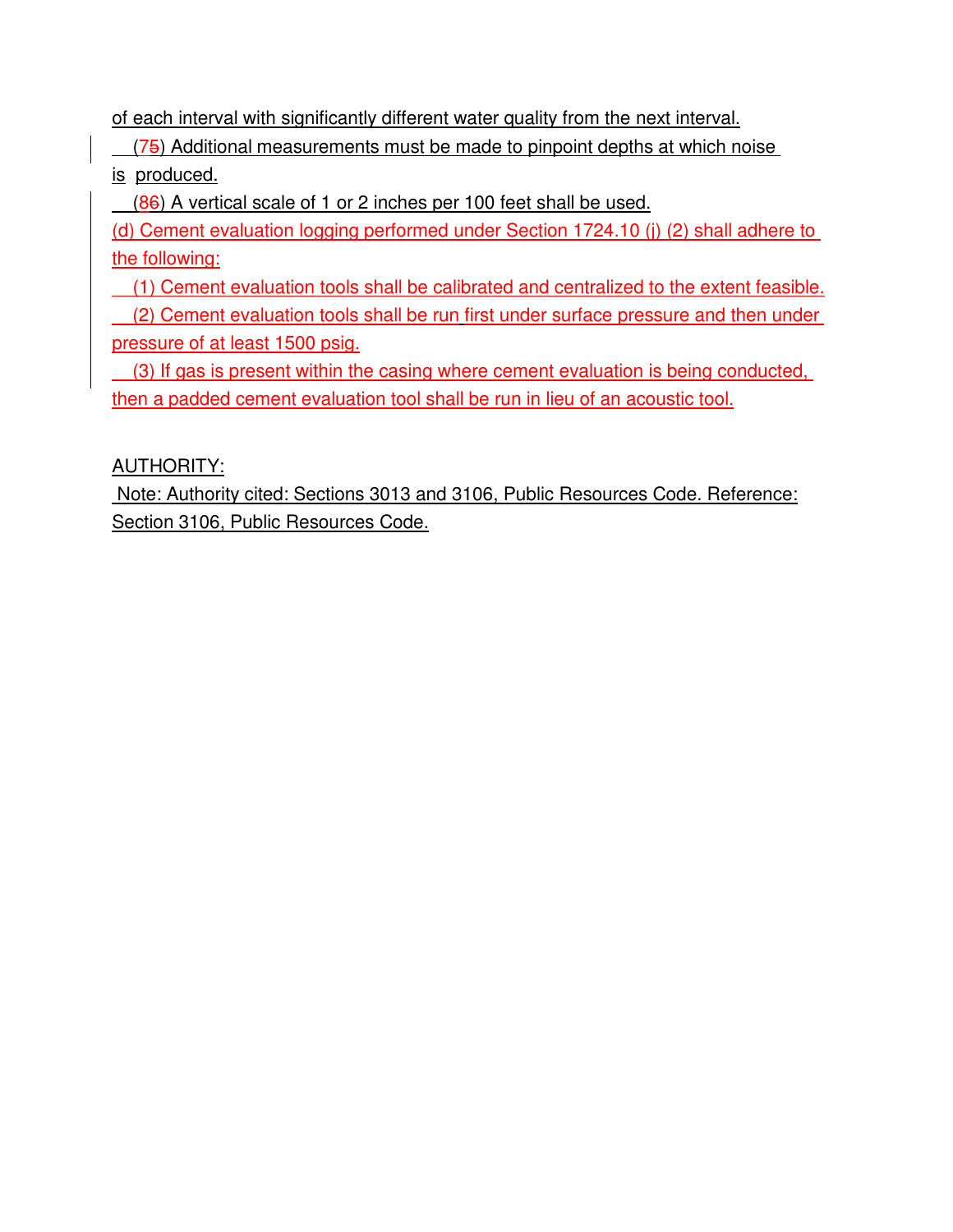of each interval with significantly different water quality from the next interval.

(75) Additional measurements must be made to pinpoint depths at which noise

is produced.

(86) A vertical scale of 1 or 2 inches per 100 feet shall be used.

(d) Cement evaluation logging performed under Section 1724.10 (j) (2) shall adhere to the following:

(1) Cement evaluation tools shall be calibrated and centralized to the extent feasible.

 (2) Cement evaluation tools shall be run first under surface pressure and then under pressure of at least 1500 psig.

 (3) If gas is present within the casing where cement evaluation is being conducted, then a padded cement evaluation tool shall be run in lieu of an acoustic tool.

AUTHORITY:

 Note: Authority cited: Sections 3013 and 3106, Public Resources Code. Reference: Section 3106, Public Resources Code.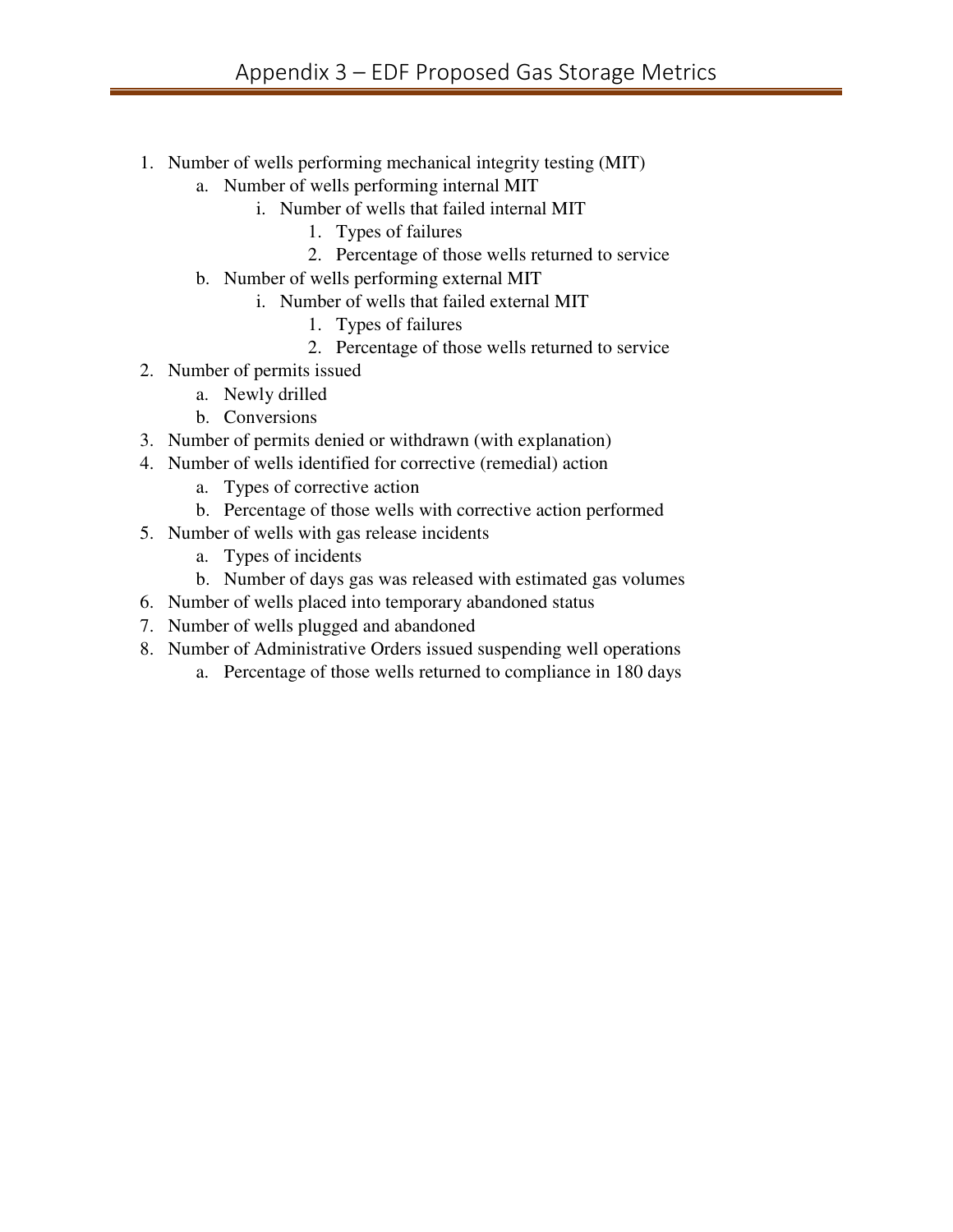- 1. Number of wells performing mechanical integrity testing (MIT)
	- a. Number of wells performing internal MIT
		- i. Number of wells that failed internal MIT
			- 1. Types of failures
			- 2. Percentage of those wells returned to service
	- b. Number of wells performing external MIT
		- i. Number of wells that failed external MIT
			- 1. Types of failures
			- 2. Percentage of those wells returned to service
- 2. Number of permits issued
	- a. Newly drilled
	- b. Conversions
- 3. Number of permits denied or withdrawn (with explanation)
- 4. Number of wells identified for corrective (remedial) action
	- a. Types of corrective action
	- b. Percentage of those wells with corrective action performed
- 5. Number of wells with gas release incidents
	- a. Types of incidents
	- b. Number of days gas was released with estimated gas volumes
- 6. Number of wells placed into temporary abandoned status
- 7. Number of wells plugged and abandoned
- 8. Number of Administrative Orders issued suspending well operations
	- a. Percentage of those wells returned to compliance in 180 days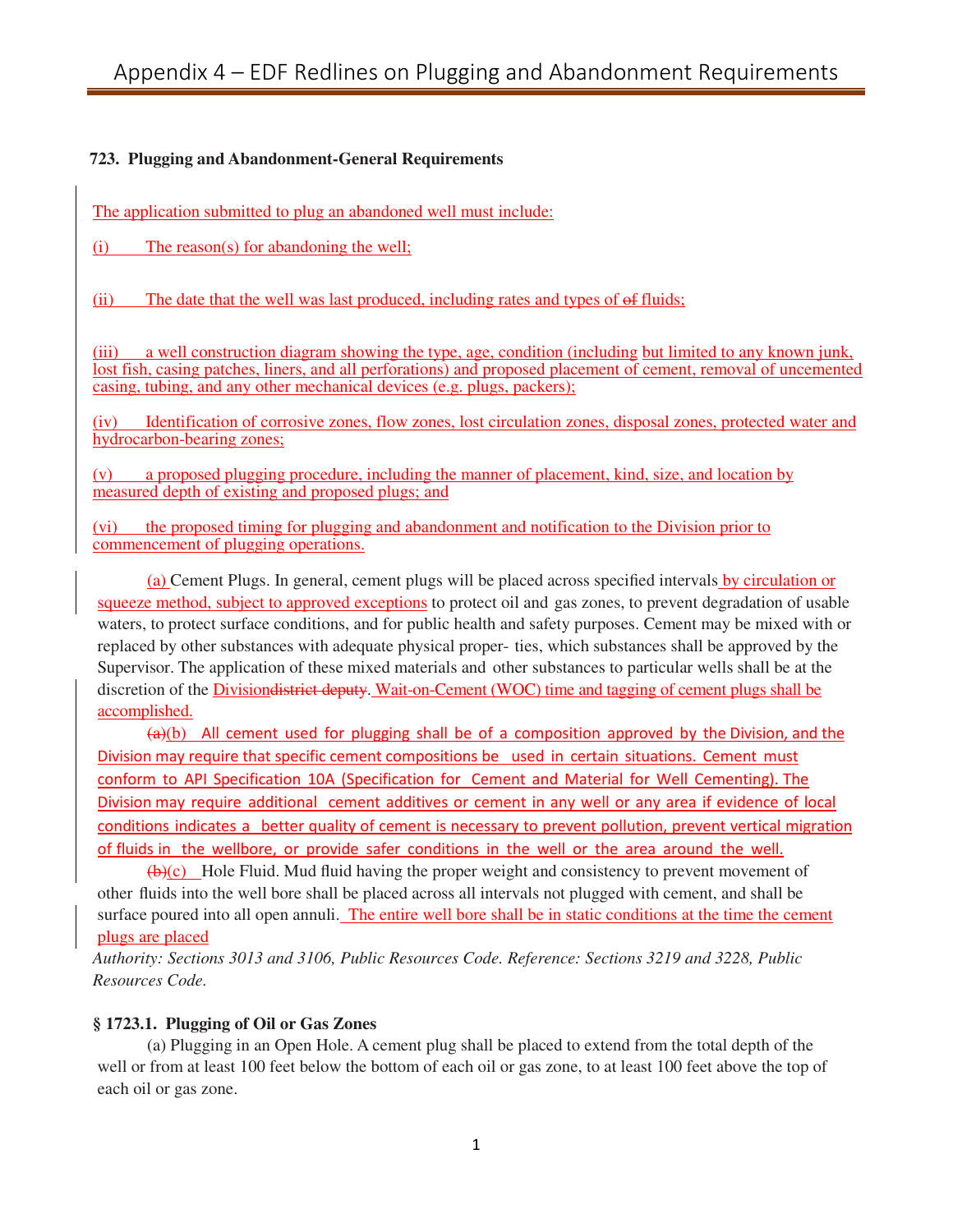#### **723. Plugging and Abandonment-General Requirements**

The application submitted to plug an abandoned well must include:

(i) The reason(s) for abandoning the well;

(ii) The date that the well was last produced, including rates and types of of fluids;

(iii) a well construction diagram showing the type, age, condition (including but limited to any known junk, lost fish, casing patches, liners, and all perforations) and proposed placement of cement, removal of uncemented casing, tubing, and any other mechanical devices (e.g. plugs, packers);

Identification of corrosive zones, flow zones, lost circulation zones, disposal zones, protected water and hydrocarbon-bearing zones;

(v) a proposed plugging procedure, including the manner of placement, kind, size, and location by measured depth of existing and proposed plugs; and

(vi) the proposed timing for plugging and abandonment and notification to the Division prior to commencement of plugging operations.

(a) Cement Plugs. In general, cement plugs will be placed across specified intervals by circulation or squeeze method, subject to approved exceptions to protect oil and gas zones, to prevent degradation of usable waters, to protect surface conditions, and for public health and safety purposes. Cement may be mixed with or replaced by other substances with adequate physical proper- ties, which substances shall be approved by the Supervisor. The application of these mixed materials and other substances to particular wells shall be at the discretion of the Divisiondistrict deputy. Wait-on-Cement (WOC) time and tagging of cement plugs shall be accomplished.

 $(a)(b)$  All cement used for plugging shall be of a composition approved by the Division, and the Division may require that specific cement compositions be used in certain situations. Cement must conform to API Specification 10A (Specification for Cement and Material for Well Cementing). The Division may require additional cement additives or cement in any well or any area if evidence of local conditions indicates a better quality of cement is necessary to prevent pollution, prevent vertical migration of fluids in the wellbore, or provide safer conditions in the well or the area around the well.

(b)(c) Hole Fluid. Mud fluid having the proper weight and consistency to prevent movement of other fluids into the well bore shall be placed across all intervals not plugged with cement, and shall be surface poured into all open annuli. The entire well bore shall be in static conditions at the time the cement plugs are placed

*Authority: Sections 3013 and 3106, Public Resources Code. Reference: Sections 3219 and 3228, Public Resources Code.*

#### **§ 1723.1. Plugging of Oil or Gas Zones**

(a) Plugging in an Open Hole. A cement plug shall be placed to extend from the total depth of the well or from at least 100 feet below the bottom of each oil or gas zone, to at least 100 feet above the top of each oil or gas zone.